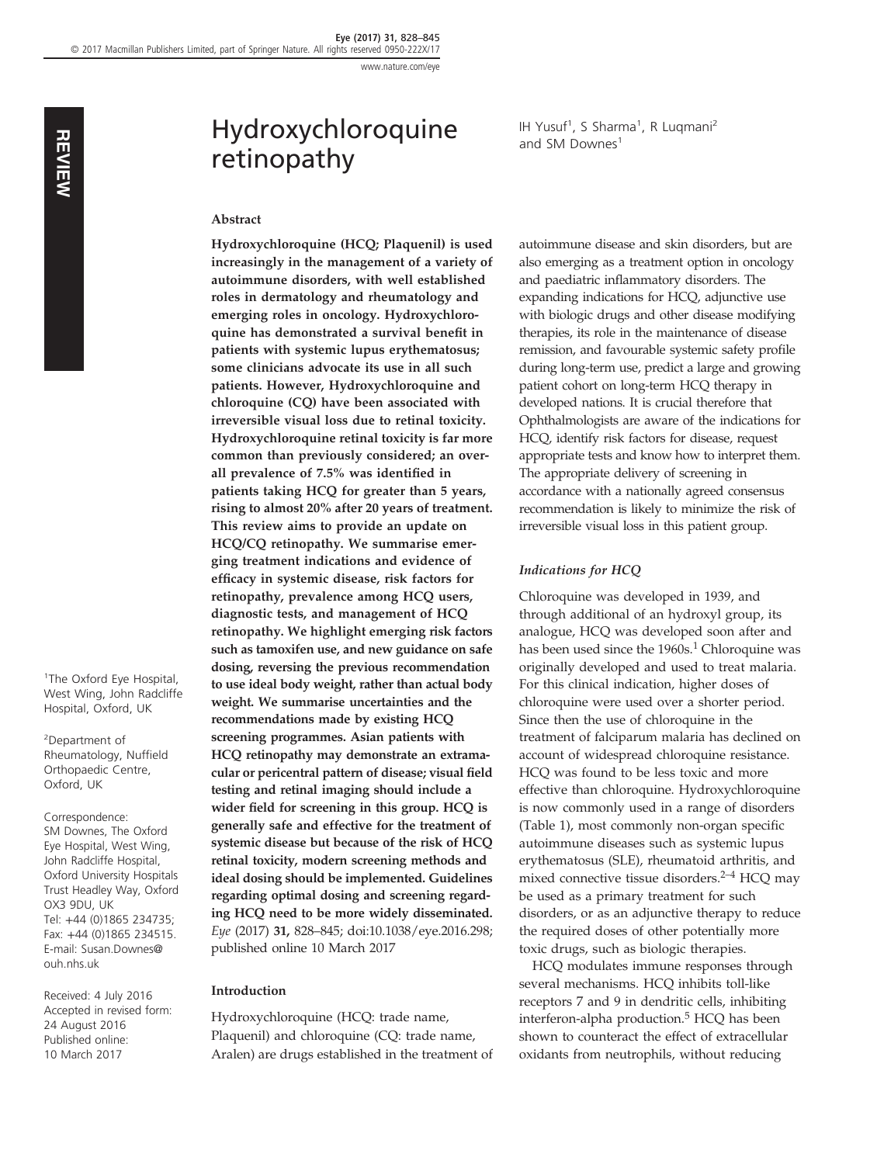Eye (2017) 31, 828–845

© 2017 Macmillan Publishers Limited, part of Springer Nature. All rights reserved 0950-222X/17

[www.nature.com/eye](http://www.nature.com/eye)

1 The Oxford Eye Hospital, West Wing, John Radcliffe Hospital, Oxford, UK

2 Department of Rheumatology, Nuffield Orthopaedic Centre, Oxford, UK

Correspondence: SM Downes, The Oxford Eye Hospital, West Wing, John Radcliffe Hospital, Oxford University Hospitals Trust Headley Way, Oxford OX3 9DU, UK Tel: +44 (0)1865 234735; Fax: +44 (0)1865 234515. E-mail: [Susan.Downes@](mailto:Susan.Downes@ouh.nhs.uk) [ouh.nhs.uk](mailto:Susan.Downes@ouh.nhs.uk) <sup>1</sup>The Oxford Ey<br>
West Wing, Jol<br>
Hospital, Oxfor<br>
<sup>2</sup>Department o<br>
Rheumatology,<br>
Orthopaedic Ci<br>
Oxford, UK<br>
Correspondence<br>
SM Downes, Th<br>
Eye Hospital, W<br>
Dohn Radcliffe +<br>
Oxford University<br>
Trust Headley V<br>
OX3 9DU,

Received: 4 July 2016 Accepted in revised form: 24 August 2016 Published online: 10 March 2017

# Hydroxychloroquine retinopathy

IH Yusuf<sup>1</sup>, S Sharma<sup>1</sup>, R Luqmani<sup>2</sup> and SM Downes<sup>1</sup>

#### Abstract

Hydroxychloroquine (HCQ; Plaquenil) is used increasingly in the management of a variety of autoimmune disorders, with well established roles in dermatology and rheumatology and emerging roles in oncology. Hydroxychloroquine has demonstrated a survival benefit in patients with systemic lupus erythematosus; some clinicians advocate its use in all such patients. However, Hydroxychloroquine and chloroquine (CQ) have been associated with irreversible visual loss due to retinal toxicity. Hydroxychloroquine retinal toxicity is far more common than previously considered; an overall prevalence of 7.5% was identified in patients taking HCQ for greater than 5 years, rising to almost 20% after 20 years of treatment. This review aims to provide an update on HCQ/CQ retinopathy. We summarise emerging treatment indications and evidence of efficacy in systemic disease, risk factors for retinopathy, prevalence among HCQ users, diagnostic tests, and management of HCQ retinopathy. We highlight emerging risk factors such as tamoxifen use, and new guidance on safe dosing, reversing the previous recommendation to use ideal body weight, rather than actual body weight. We summarise uncertainties and the recommendations made by existing HCQ screening programmes. Asian patients with HCQ retinopathy may demonstrate an extramacular or pericentral pattern of disease; visual field testing and retinal imaging should include a wider field for screening in this group. HCQ is generally safe and effective for the treatment of systemic disease but because of the risk of HCQ retinal toxicity, modern screening methods and ideal dosing should be implemented. Guidelines regarding optimal dosing and screening regarding HCQ need to be more widely disseminated. Eye (2017) 31, 828–845; doi:[10.1038/eye.2016.298;](http://dx.doi.org/10.1038/eye.2016.298) published online 10 March 2017

#### Introduction

Hydroxychloroquine (HCQ: trade name, Plaquenil) and chloroquine (CQ: trade name, Aralen) are drugs established in the treatment of autoimmune disease and skin disorders, but are also emerging as a treatment option in oncology and paediatric inflammatory disorders. The expanding indications for HCQ, adjunctive use with biologic drugs and other disease modifying therapies, its role in the maintenance of disease remission, and favourable systemic safety profile during long-term use, predict a large and growing patient cohort on long-term HCQ therapy in developed nations. It is crucial therefore that Ophthalmologists are aware of the indications for HCQ, identify risk factors for disease, request appropriate tests and know how to interpret them. The appropriate delivery of screening in accordance with a nationally agreed consensus recommendation is likely to minimize the risk of irreversible visual loss in this patient group.

#### Indications for HCQ

Chloroquine was developed in 1939, and through additional of an hydroxyl group, its analogue, HCQ was developed soon after and has been used since the [1](#page-14-0)960s.<sup>1</sup> Chloroquine was originally developed and used to treat malaria. For this clinical indication, higher doses of chloroquine were used over a shorter period. Since then the use of chloroquine in the treatment of falciparum malaria has declined on account of widespread chloroquine resistance. HCQ was found to be less toxic and more effective than chloroquine. Hydroxychloroquine is now commonly used in a range of disorders ([Table 1\)](#page-1-0), most commonly non-organ specific autoimmune diseases such as systemic lupus erythematosus (SLE), rheumatoid arthritis, and mixed connective tissue disorders.<sup>[2](#page-14-0)-4</sup> HCQ may be used as a primary treatment for such disorders, or as an adjunctive therapy to reduce the required doses of other potentially more toxic drugs, such as biologic therapies.

HCQ modulates immune responses through several mechanisms. HCQ inhibits toll-like receptors 7 and 9 in dendritic cells, inhibiting interferon-alpha production.<sup>[5](#page-14-0)</sup> HCQ has been shown to counteract the effect of extracellular oxidants from neutrophils, without reducing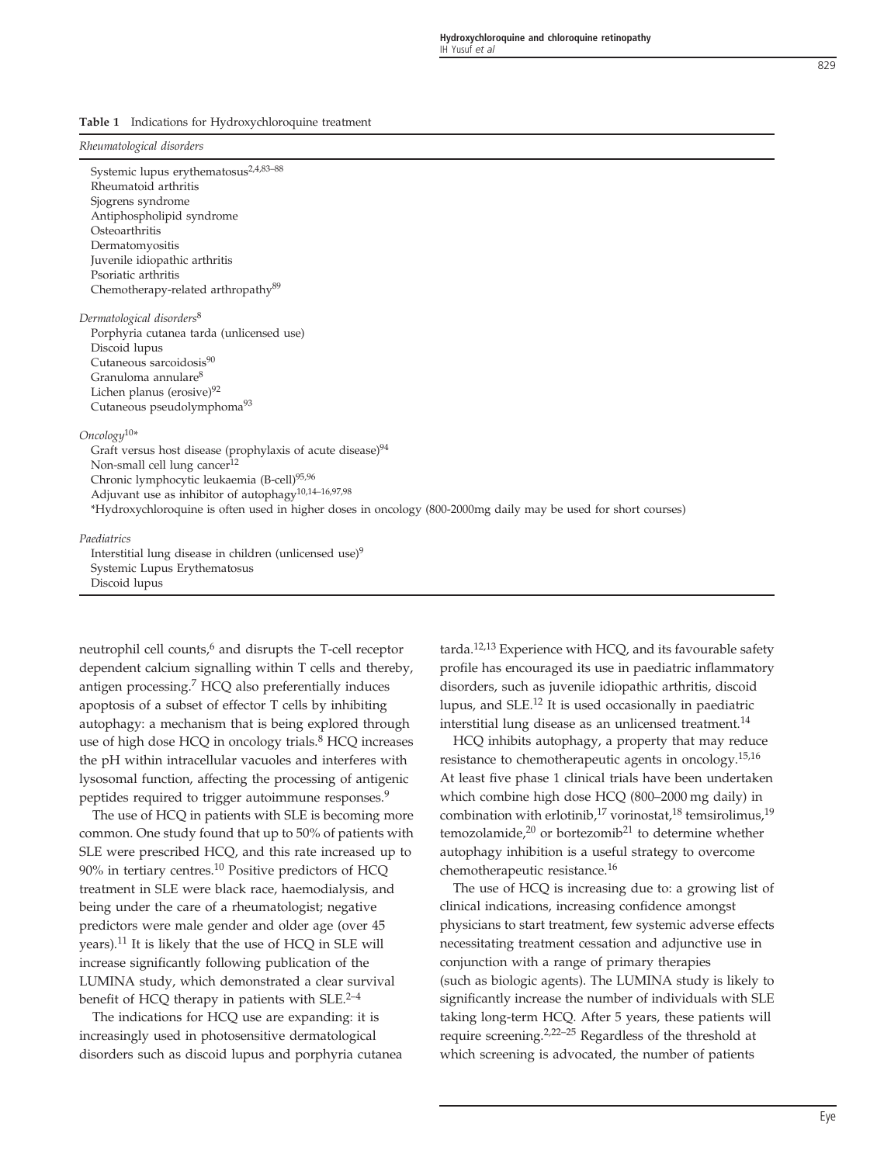#### <span id="page-1-0"></span>Table 1 Indications for Hydroxychloroquine treatment

#### Rheumatological disorders

Systemic lupus erythematosus<sup>[2,4](#page-14-0),83-[88](#page-16-0)</sup> Rheumatoid arthritis Sjogrens syndrome Antiphospholipid syndrome **Osteoarthritis** Dermatomyositis Juvenile idiopathic arthritis Psoriatic arthritis Chemotherapy-related arthropathy<sup>[89](#page-17-0)</sup>

#### Dermatological disorders<sup>[8](#page-14-0)</sup>

Porphyria cutanea tarda (unlicensed use) Discoid lupus Cutaneous sarcoidosis<sup>90</sup> Granuloma annulare<sup>8</sup> Lichen planus (erosive)<sup>[92](#page-17-0)</sup> Cutaneous pseudolymphoma<sup>[93](#page-17-0)</sup>

## Oncology[10](#page-14-0)\*

Graft versus host disease (prophylaxis of acute disease)<sup>94</sup> Non-small cell lung cancer<sup>12</sup> Chronic lymphocytic leukaemia (B-cell)[95,96](#page-17-0) Adjuvant use as inhibitor of autophagy[10,14](#page-14-0)–16,[97,98](#page-17-0) \*Hydroxychloroquine is often used in higher doses in oncology (800-2000mg daily may be used for short courses)

#### Paediatrics

Interstitial lung disease in children (unlicensed use) $9$ Systemic Lupus Erythematosus Discoid lupus

neutrophil cell counts,<sup>[6](#page-14-0)</sup> and disrupts the T-cell receptor dependent calcium signalling within T cells and thereby, antigen processing.[7](#page-14-0) HCQ also preferentially induces apoptosis of a subset of effector T cells by inhibiting autophagy: a mechanism that is being explored through use of high dose HCQ in oncology trials.<sup>[8](#page-14-0)</sup> HCQ increases the pH within intracellular vacuoles and interferes with lysosomal function, affecting the processing of antigenic peptides required to trigger autoimmune responses.<sup>[9](#page-14-0)</sup>

The use of HCQ in patients with SLE is becoming more common. One study found that up to 50% of patients with SLE were prescribed HCQ, and this rate increased up to 90% in tertiary centres.[10](#page-14-0) Positive predictors of HCQ treatment in SLE were black race, haemodialysis, and being under the care of a rheumatologist; negative predictors were male gender and older age (over 45 years).[11](#page-14-0) It is likely that the use of HCQ in SLE will increase significantly following publication of the LUMINA study, which demonstrated a clear survival benefit of HCQ therapy in patients with  $SLE.<sup>2-4</sup>$ 

The indications for HCQ use are expanding: it is increasingly used in photosensitive dermatological disorders such as discoid lupus and porphyria cutanea tarda.[12,13](#page-14-0) Experience with HCQ, and its favourable safety profile has encouraged its use in paediatric inflammatory disorders, such as juvenile idiopathic arthritis, discoid lupus, and SLE.[12](#page-14-0) It is used occasionally in paediatric interstitial lung disease as an unlicensed treatment.<sup>[14](#page-14-0)</sup>

HCQ inhibits autophagy, a property that may reduce resistance to chemotherapeutic agents in oncology.[15](#page-14-0),[16](#page-14-0) At least five phase 1 clinical trials have been undertaken which combine high dose HCQ (800–2000 mg daily) in combination with erlotinib,<sup>[17](#page-14-0)</sup> vorinostat,<sup>[18](#page-14-0)</sup> temsirolimus,<sup>[19](#page-14-0)</sup> temozolamide, $20$  or bortezomib<sup>[21](#page-14-0)</sup> to determine whether autophagy inhibition is a useful strategy to overcome chemotherapeutic resistance.[16](#page-14-0)

The use of HCQ is increasing due to: a growing list of clinical indications, increasing confidence amongst physicians to start treatment, few systemic adverse effects necessitating treatment cessation and adjunctive use in conjunction with a range of primary therapies (such as biologic agents). The LUMINA study is likely to significantly increase the number of individuals with SLE taking long-term HCQ. After 5 years, these patients will require screening.[2,](#page-14-0)22–[25](#page-14-0) Regardless of the threshold at which screening is advocated, the number of patients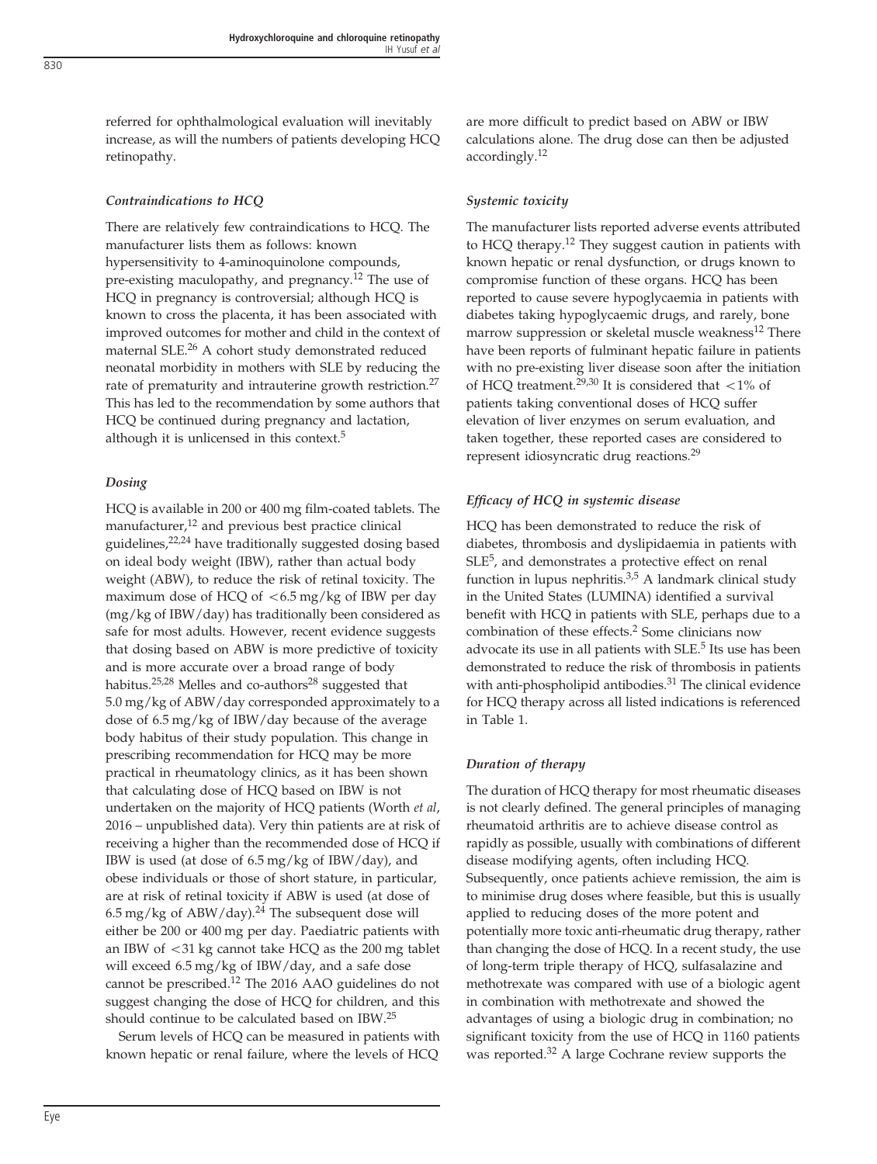referred for ophthalmological evaluation will inevitably increase, as will the numbers of patients developing HCQ retinopathy.

## Contraindications to HCQ

There are relatively few contraindications to HCQ. The manufacturer lists them as follows: known hypersensitivity to 4-aminoquinolone compounds, pre-existing maculopathy, and pregnancy.[12](#page-14-0) The use of HCQ in pregnancy is controversial; although HCQ is known to cross the placenta, it has been associated with improved outcomes for mother and child in the context of maternal SLE.[26](#page-14-0) A cohort study demonstrated reduced neonatal morbidity in mothers with SLE by reducing the rate of prematurity and intrauterine growth restriction.<sup>[27](#page-15-0)</sup> This has led to the recommendation by some authors that HCQ be continued during pregnancy and lactation, although it is unlicensed in this context.[5](#page-14-0)

#### Dosing

HCQ is available in 200 or 400 mg film-coated tablets. The manufacturer,[12](#page-14-0) and previous best practice clinical guidelines,[22](#page-14-0),[24](#page-14-0) have traditionally suggested dosing based on ideal body weight (IBW), rather than actual body weight (ABW), to reduce the risk of retinal toxicity. The maximum dose of HCQ of  $\langle 6.5 \text{ mg/kg}$  of IBW per day (mg/kg of IBW/day) has traditionally been considered as safe for most adults. However, recent evidence suggests that dosing based on ABW is more predictive of toxicity and is more accurate over a broad range of body habitus.<sup>[25](#page-14-0)[,28](#page-15-0)</sup> Melles and co-authors<sup>[28](#page-15-0)</sup> suggested that 5.0 mg/kg of ABW/day corresponded approximately to a dose of 6.5 mg/kg of IBW/day because of the average body habitus of their study population. This change in prescribing recommendation for HCQ may be more practical in rheumatology clinics, as it has been shown that calculating dose of HCQ based on IBW is not undertaken on the majority of HCQ patients (Worth et al, 2016 – unpublished data). Very thin patients are at risk of receiving a higher than the recommended dose of HCQ if IBW is used (at dose of 6.5 mg/kg of IBW/day), and obese individuals or those of short stature, in particular, are at risk of retinal toxicity if ABW is used (at dose of 6.5 mg/kg of ABW/day).<sup>[24](#page-14-0)</sup> The subsequent dose will either be 200 or 400 mg per day. Paediatric patients with an IBW of  $<$  31 kg cannot take HCQ as the 200 mg tablet will exceed 6.5 mg/kg of IBW/day, and a safe dose cannot be prescribed.[12](#page-14-0) The 2016 AAO guidelines do not suggest changing the dose of HCQ for children, and this should continue to be calculated based on IBW.[25](#page-14-0)

Serum levels of HCQ can be measured in patients with known hepatic or renal failure, where the levels of HCQ

are more difficult to predict based on ABW or IBW calculations alone. The drug dose can then be adjusted accordingly.[12](#page-14-0)

## Systemic toxicity

The manufacturer lists reported adverse events attributed to HCQ therapy.<sup>[12](#page-14-0)</sup> They suggest caution in patients with known hepatic or renal dysfunction, or drugs known to compromise function of these organs. HCQ has been reported to cause severe hypoglycaemia in patients with diabetes taking hypoglycaemic drugs, and rarely, bone marrow suppression or skeletal muscle weakness<sup>[12](#page-14-0)</sup> There have been reports of fulminant hepatic failure in patients with no pre-existing liver disease soon after the initiation of HCQ treatment.<sup>[29](#page-15-0),[30](#page-15-0)</sup> It is considered that <1% of patients taking conventional doses of HCQ suffer elevation of liver enzymes on serum evaluation, and taken together, these reported cases are considered to represent idiosyncratic drug reactions.[29](#page-15-0)

#### Efficacy of HCQ in systemic disease

HCQ has been demonstrated to reduce the risk of diabetes, thrombosis and dyslipidaemia in patients with SLE<sup>5</sup>, and demonstrates a protective effect on renal function in lupus nephritis.[3,5](#page-14-0) A landmark clinical study in the United States (LUMINA) identified a survival benefit with HCQ in patients with SLE, perhaps due to a combination of these effects.<sup>[2](#page-14-0)</sup> Some clinicians now advocate its use in all patients with SLE.<sup>[5](#page-14-0)</sup> Its use has been demonstrated to reduce the risk of thrombosis in patients with anti-phospholipid antibodies.<sup>[31](#page-15-0)</sup> The clinical evidence for HCQ therapy across all listed indications is referenced in [Table 1](#page-1-0).

## Duration of therapy

The duration of HCQ therapy for most rheumatic diseases is not clearly defined. The general principles of managing rheumatoid arthritis are to achieve disease control as rapidly as possible, usually with combinations of different disease modifying agents, often including HCQ. Subsequently, once patients achieve remission, the aim is to minimise drug doses where feasible, but this is usually applied to reducing doses of the more potent and potentially more toxic anti-rheumatic drug therapy, rather than changing the dose of HCQ. In a recent study, the use of long-term triple therapy of HCQ, sulfasalazine and methotrexate was compared with use of a biologic agent in combination with methotrexate and showed the advantages of using a biologic drug in combination; no significant toxicity from the use of HCQ in 1160 patients was reported.[32](#page-15-0) A large Cochrane review supports the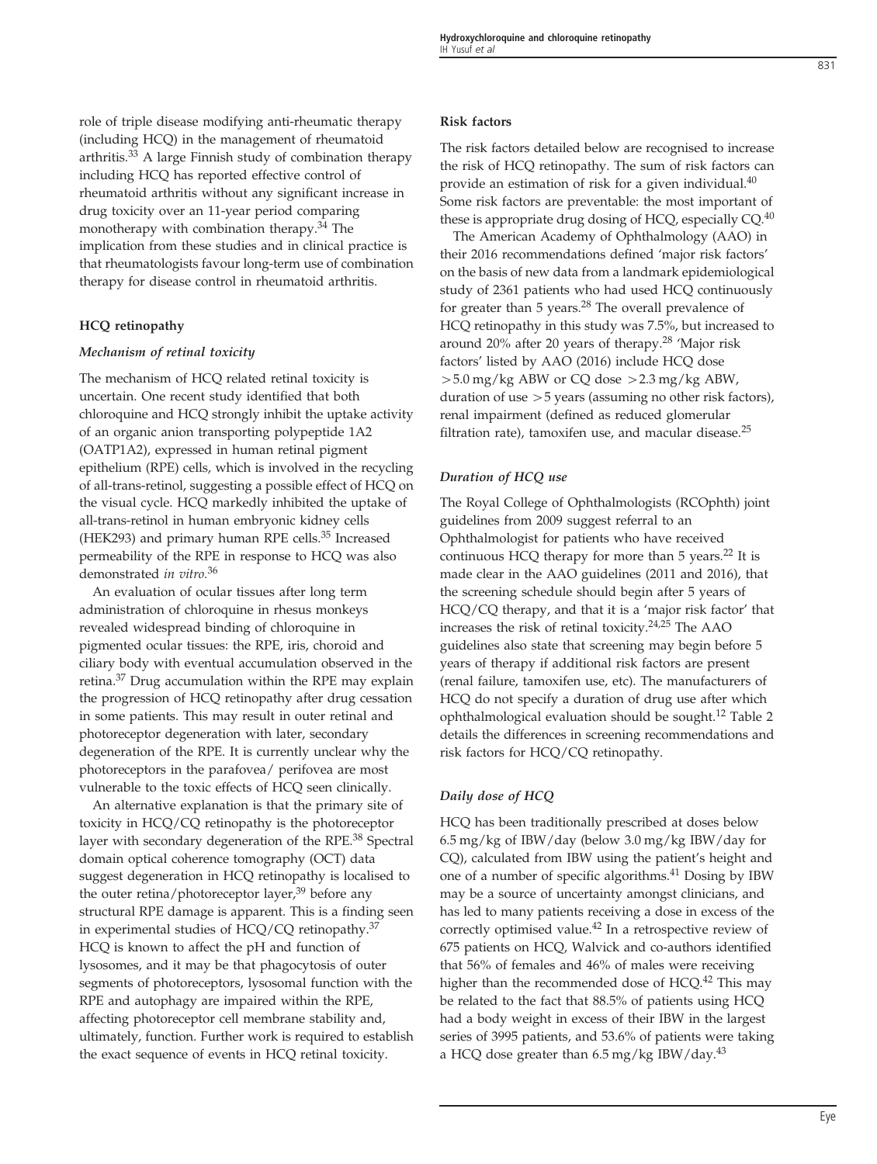role of triple disease modifying anti-rheumatic therapy (including HCQ) in the management of rheumatoid arthritis.[33](#page-15-0) A large Finnish study of combination therapy including HCQ has reported effective control of rheumatoid arthritis without any significant increase in drug toxicity over an 11-year period comparing monotherapy with combination therapy.<sup>[34](#page-15-0)</sup> The implication from these studies and in clinical practice is that rheumatologists favour long-term use of combination therapy for disease control in rheumatoid arthritis.

#### HCQ retinopathy

#### Mechanism of retinal toxicity

The mechanism of HCQ related retinal toxicity is uncertain. One recent study identified that both chloroquine and HCQ strongly inhibit the uptake activity of an organic anion transporting polypeptide 1A2 (OATP1A2), expressed in human retinal pigment epithelium (RPE) cells, which is involved in the recycling of all-trans-retinol, suggesting a possible effect of HCQ on the visual cycle. HCQ markedly inhibited the uptake of all-trans-retinol in human embryonic kidney cells (HEK293) and primary human RPE cells.<sup>35</sup> Increased permeability of the RPE in response to HCQ was also demonstrated *in vitro*.<sup>[36](#page-15-0)</sup>

An evaluation of ocular tissues after long term administration of chloroquine in rhesus monkeys revealed widespread binding of chloroquine in pigmented ocular tissues: the RPE, iris, choroid and ciliary body with eventual accumulation observed in the retina.[37](#page-15-0) Drug accumulation within the RPE may explain the progression of HCQ retinopathy after drug cessation in some patients. This may result in outer retinal and photoreceptor degeneration with later, secondary degeneration of the RPE. It is currently unclear why the photoreceptors in the parafovea/ perifovea are most vulnerable to the toxic effects of HCQ seen clinically.

An alternative explanation is that the primary site of toxicity in HCQ/CQ retinopathy is the photoreceptor layer with secondary degeneration of the RPE.[38](#page-15-0) Spectral domain optical coherence tomography (OCT) data suggest degeneration in HCQ retinopathy is localised to the outer retina/photoreceptor layer, $39$  before any structural RPE damage is apparent. This is a finding seen in experimental studies of HCQ/CQ retinopathy.[37](#page-15-0) HCQ is known to affect the pH and function of lysosomes, and it may be that phagocytosis of outer segments of photoreceptors, lysosomal function with the RPE and autophagy are impaired within the RPE, affecting photoreceptor cell membrane stability and, ultimately, function. Further work is required to establish the exact sequence of events in HCQ retinal toxicity.

#### Risk factors

The risk factors detailed below are recognised to increase the risk of HCQ retinopathy. The sum of risk factors can provide an estimation of risk for a given individual.<sup>[40](#page-15-0)</sup> Some risk factors are preventable: the most important of these is appropriate drug dosing of HCQ, especially  $CQ^{40}$  $CQ^{40}$  $CQ^{40}$ 

The American Academy of Ophthalmology (AAO) in their 2016 recommendations defined 'major risk factors' on the basis of new data from a landmark epidemiological study of 2361 patients who had used HCQ continuously for greater than  $5$  years.<sup>[28](#page-15-0)</sup> The overall prevalence of HCQ retinopathy in this study was 7.5%, but increased to around 20% after 20 years of therapy.<sup>[28](#page-15-0)</sup> 'Major risk factors' listed by AAO (2016) include HCQ dose  $>$  5.0 mg/kg ABW or CQ dose  $>$  2.3 mg/kg ABW, duration of use  $>$  5 years (assuming no other risk factors), renal impairment (defined as reduced glomerular filtration rate), tamoxifen use, and macular disease.[25](#page-14-0)

#### Duration of HCQ use

The Royal College of Ophthalmologists (RCOphth) joint guidelines from 2009 suggest referral to an Ophthalmologist for patients who have received continuous HCQ therapy for more than 5 years.[22](#page-14-0) It is made clear in the AAO guidelines (2011 and 2016), that the screening schedule should begin after 5 years of HCQ/CQ therapy, and that it is a 'major risk factor' that increases the risk of retinal toxicity.[24](#page-14-0),[25](#page-14-0) The AAO guidelines also state that screening may begin before 5 years of therapy if additional risk factors are present (renal failure, tamoxifen use, etc). The manufacturers of HCQ do not specify a duration of drug use after which ophthalmological evaluation should be sought.[12](#page-14-0) [Table 2](#page-4-0) details the differences in screening recommendations and risk factors for HCQ/CQ retinopathy.

#### Daily dose of HCQ

HCQ has been traditionally prescribed at doses below 6.5 mg/kg of IBW/day (below 3.0 mg/kg IBW/day for CQ), calculated from IBW using the patient's height and one of a number of specific algorithms.<sup>[41](#page-15-0)</sup> Dosing by IBW may be a source of uncertainty amongst clinicians, and has led to many patients receiving a dose in excess of the correctly optimised value.[42](#page-15-0) In a retrospective review of 675 patients on HCQ, Walvick and co-authors identified that 56% of females and 46% of males were receiving higher than the recommended dose of HCQ.<sup>[42](#page-15-0)</sup> This may be related to the fact that 88.5% of patients using HCQ had a body weight in excess of their IBW in the largest series of 3995 patients, and 53.6% of patients were taking a HCQ dose greater than 6.5 mg/kg IBW/day.<sup>[43](#page-15-0)</sup>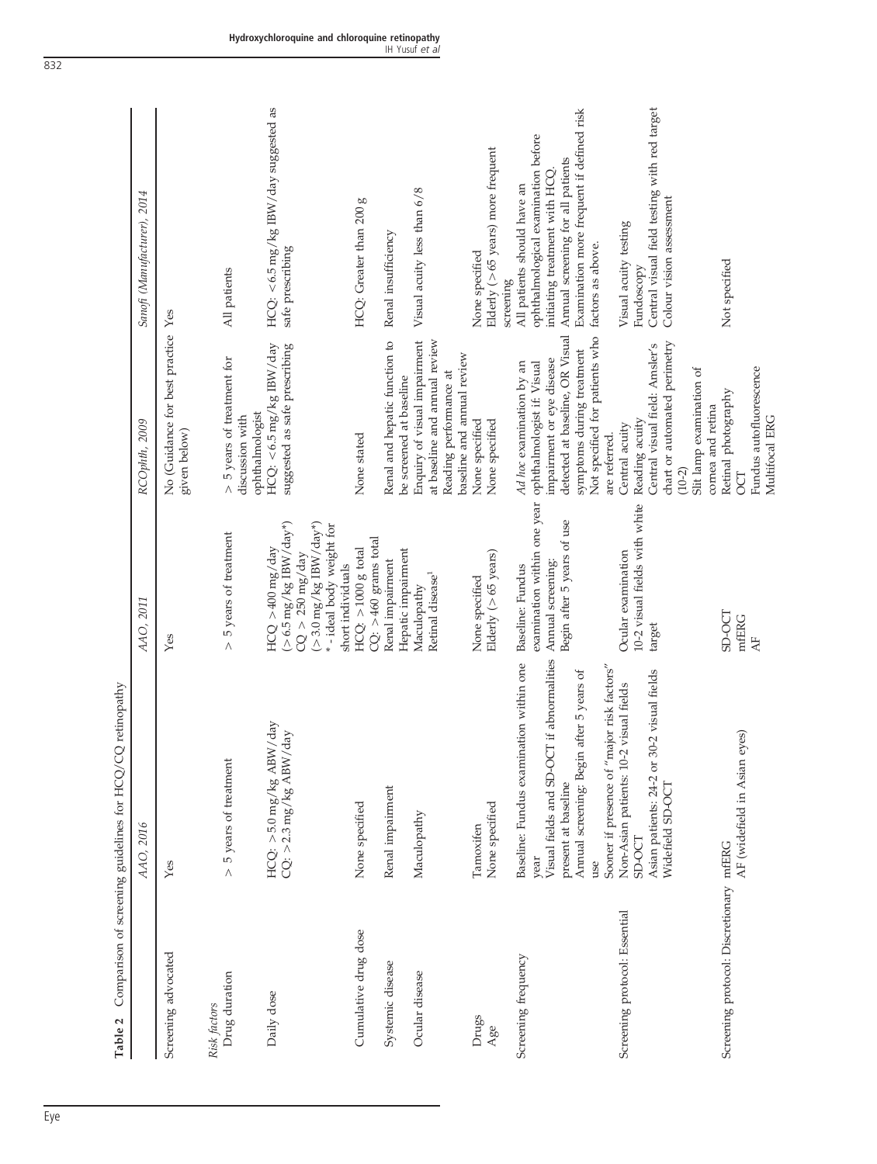<span id="page-4-0"></span>

| Table 2                                 | Comparison of screening guidelines for HCQ/CQ retinopathy                                                                                                                  |                                                                                                                                            |                                                                                                                                                         |                                                                                                                                                                                                                          |
|-----------------------------------------|----------------------------------------------------------------------------------------------------------------------------------------------------------------------------|--------------------------------------------------------------------------------------------------------------------------------------------|---------------------------------------------------------------------------------------------------------------------------------------------------------|--------------------------------------------------------------------------------------------------------------------------------------------------------------------------------------------------------------------------|
|                                         | AAO, 2016                                                                                                                                                                  | AAO, 2011                                                                                                                                  | RCOphth, 2009                                                                                                                                           | Sanofi (Manufacturer), 2014                                                                                                                                                                                              |
| Screening advocated                     | Yes                                                                                                                                                                        | $\operatorname{\mathsf{Yes}}$                                                                                                              | No (Guidance for best practice Yes<br>given below)                                                                                                      |                                                                                                                                                                                                                          |
| Drug duration<br>Risk factors           | 5 years of treatment<br>$\land$                                                                                                                                            | 5 years of treatment<br>Λ                                                                                                                  | $>$ 5 years of treatment for<br>ophthalmologist<br>discussion with                                                                                      | All patients                                                                                                                                                                                                             |
| Daily dose                              | HCQ: >5.0 mg/kg ABW/day<br>CQ: >2.3 mg/kg ABW/day                                                                                                                          | $(>$ 6.5 mg/kg IBW/day*)<br>$( > 3.0 \; \rm{mg/kg}$ IBW/day*)<br>*-ideal body weight for<br>H CQ > 400 mg/day<br>$CQ > 250 \text{ mg/day}$ | $HCC: < 6.5 mg/kg$ IBW/day<br>suggested as safe prescribing                                                                                             | $HCC: < 6.5$ mg/kg IBW/day suggested as<br>safe prescribing                                                                                                                                                              |
| Cumulative drug dose                    | None specified                                                                                                                                                             | $CQ: >460$ grams total<br>HCQ: $>1000$ g total<br>short individuals                                                                        | None stated                                                                                                                                             | HCQ: Greater than 200 g                                                                                                                                                                                                  |
| Systemic disease                        | Renal impairment                                                                                                                                                           | Hepatic impairment<br>Renal impairment                                                                                                     | Renal and hepatic function to<br>be screened at baseline                                                                                                | Renal insufficiency                                                                                                                                                                                                      |
| Ocular disease                          | Maculopathy                                                                                                                                                                | Retinal disease <sup>1</sup><br>Maculopathy                                                                                                | Enquiry of visual impairment<br>at baseline and annual review<br>baseline and annual review<br>Reading performance at                                   | Visual acuity less than 6/8                                                                                                                                                                                              |
| Drugs<br>Age                            | None specified<br>Tamoxifen                                                                                                                                                | Elderly (>65 years)<br>None specified                                                                                                      | None specified<br>None specified                                                                                                                        | Elderly $($ > 65 years) more frequent<br>None specified                                                                                                                                                                  |
| Screening frequency                     | CT if abnormalities<br>Baseline: Fundus examination within one<br>Annual screening: Begin after 5 years of<br>Visual fields and SD-O<br>present at baseline<br>vear<br>use | examination within one year ophthalmologist if. Visual<br>Begin after 5 years of use<br>Annual screening:<br>Baseline: Fundus              | detected at baseline, OR Visual<br>Not specified for patients who<br>symptoms during treatment<br>impairment or eye disease<br>Ad hoc examination by an | Examination more frequent if defined risk<br>ophthalmological examination before<br>Annual screening for all patients<br>initiating treatment with HCQ.<br>All patients should have an<br>factors as above.<br>screening |
| Screening protocol: Essential           | Sooner if presence of "major risk factors"<br>30-2 visual fields<br>-2 visual fields<br>Non-Asian patients: 10<br>Asian patients: 24-2 or<br>Widefield SD-OCT<br>SD-OCT    | 10-2 visual fields with white<br>Ocular examination<br>target                                                                              | chart or automated perimetry<br>Central visual field: Amsler's<br>Reading acuity<br>Central acuity<br>are referred.<br>$(10-2)$                         | Central visual field testing with red target<br>Colour vision assessment<br>Visual acuity testing<br>Fundoscopy                                                                                                          |
| Screening protocol: Discretionary mfERG | eyes)<br>AF (widefield in Asian                                                                                                                                            | SD-OCT<br>mfERG<br>Æ                                                                                                                       | Fundus autofluorescence<br>Slit lamp examination of<br>Retinal photography<br>cornea and retina<br>Multifocal ERG<br>CT                                 | Not specified                                                                                                                                                                                                            |

Eye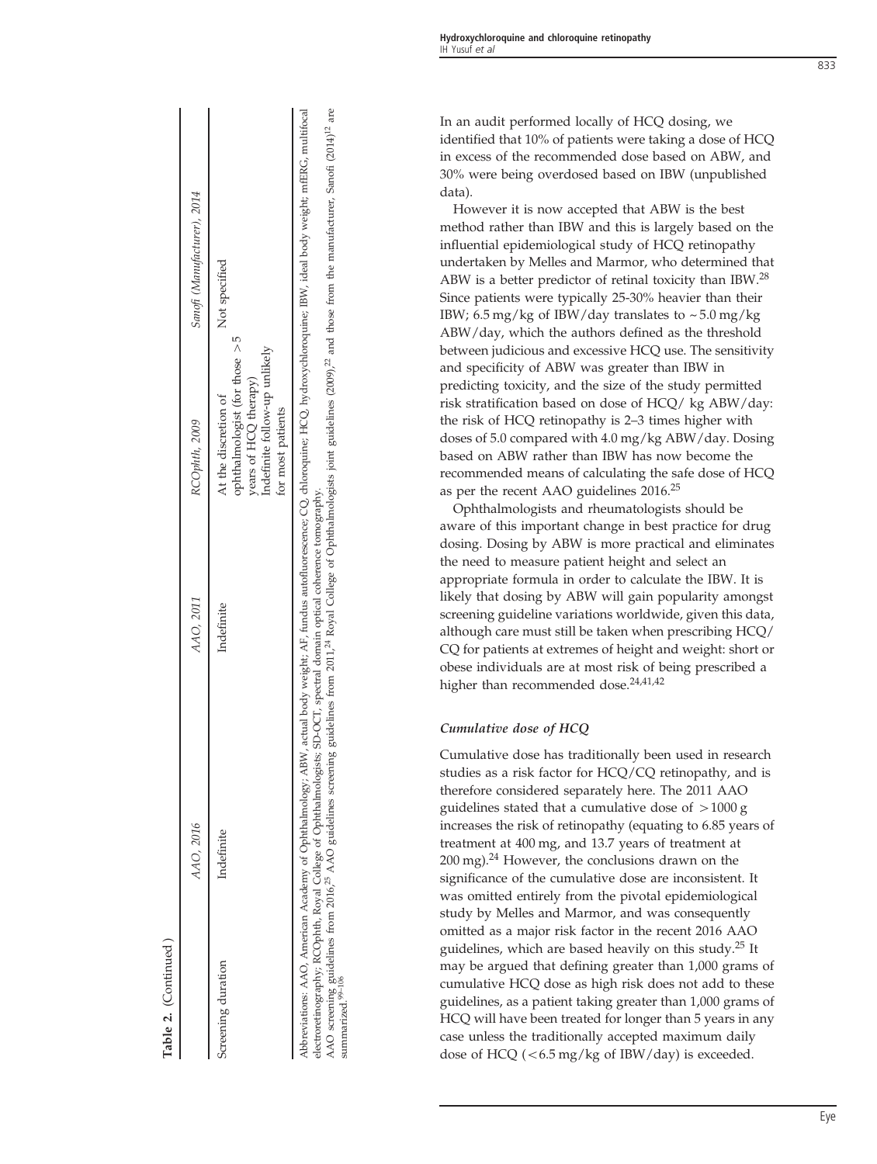|                    | AAO, 2016  | AAO, 2011  | RCOphth, 2009                                                                                                                          | Sanofi (Manufacturer), 2014 |  |
|--------------------|------------|------------|----------------------------------------------------------------------------------------------------------------------------------------|-----------------------------|--|
| Screening duration | Indefinite | Indefinite | ophthalmologist (for those $>5$<br>Indefinite follow-up unlikely<br>years of HCQ therapy)<br>At the discretion of<br>for most patients | Not specified               |  |

Abbreviations: AAO, American Academy of Ophthalmology; ABW, actual body weight; AF, fundus autofluorescence; CQ, chloroquine; HCQ, hydroxychloroquine; IBW, ideal body weight; mtERG, multifocal<br>electroretinography; RCOphth AAO screening guidelines from 2016,<sup>[25](#page-14-0)</sup> AAO guidelines screening guidelines from 2011,<sup>24</sup> Royal College of Ophthalmologists joint guidelines (2009),<sup>[22](#page-14-0)</sup> and those from the manufacturer, Sanofi (2014)<sup>12</sup> are electroretinography; RCOphth, Royal College of Ophthalmologists; SD-OCT, spectral domain optical coherence tomography. summarized.99–[106](#page-17-0)

In an audit performed locally of HCQ dosing, we identi fied that 10% of patients were taking a dose of HCQ in excess of the recommended dose based on ABW, and 30% were being overdosed based on IBW (unpublished data).

However it is now accepted that ABW is the best method rather than IBW and this is largely based on the in fluential epidemiological study of HCQ retinopathy undertaken by Melles and Marmor, who determined that ABW is a better predictor of retinal toxicity than IBW.[28](#page-15-0) Since patients were typically 25-30% heavier than their IBW; 6.5 mg/kg of IBW/day translates to  $\sim$  5.0 mg/kg ABW/day, which the authors de fined as the threshold between judicious and excessive HCQ use. The sensitivity and speci ficity of ABW was greater than IBW in predicting toxicity, and the size of the study permitted risk strati fication based on dose of HCQ/ kg ABW/day: the risk of HCQ retinopathy is 2 –3 times higher with doses of 5.0 compared with 4.0 mg/kg ABW/day. Dosing based on ABW rather than IBW has now become the recommended means of calculating the safe dose of HCQ as per the recent AAO guidelines 2016.[25](#page-14-0)

Ophthalmologists and rheumatologists should be aware of this important change in best practice for drug dosing. Dosing by ABW is more practical and eliminates the need to measure patient height and select an appropriate formula in order to calculate the IBW. It is likely that dosing by ABW will gain popularity amongst screening guideline variations worldwide, given this data, although care must still be taken when prescribing HCQ/ CQ for patients at extremes of height and weight: short or obese individuals are at most risk of being prescribed a higher than recommended dose.<sup>[24,](#page-14-0)[41,42](#page-15-0)</sup>

## Cumulative dose of HCQ

Cumulative dose has traditionally been used in research studies as a risk factor for HCQ/CQ retinopathy, and is therefore considered separately here. The 2011 AAO guidelines stated that a cumulative dose of 41000 g increases the risk of retinopathy (equating to 6.85 years of treatment at 400 mg, and 13.7 years of treatment at 200 mg)[.24](#page-14-0) However, the conclusions drawn on the signi ficance of the cumulative dose are inconsistent. It was omitted entirely from the pivotal epidemiological study by Melles and Marmor, and was consequently omitted as a major risk factor in the recent 2016 AAO guidelines, which are based heavily on this study.[25](#page-14-0) It may be argued that de fining greater than 1,000 grams of cumulative HCQ dose as high risk does not add to these guidelines, as a patient taking greater than 1,000 grams of HCQ will have been treated for longer than 5 years in any case unless the traditionally accepted maximum daily dose of HCQ  $\left(<\frac{6.5}{9}$  mg/kg of IBW/day) is exceeded.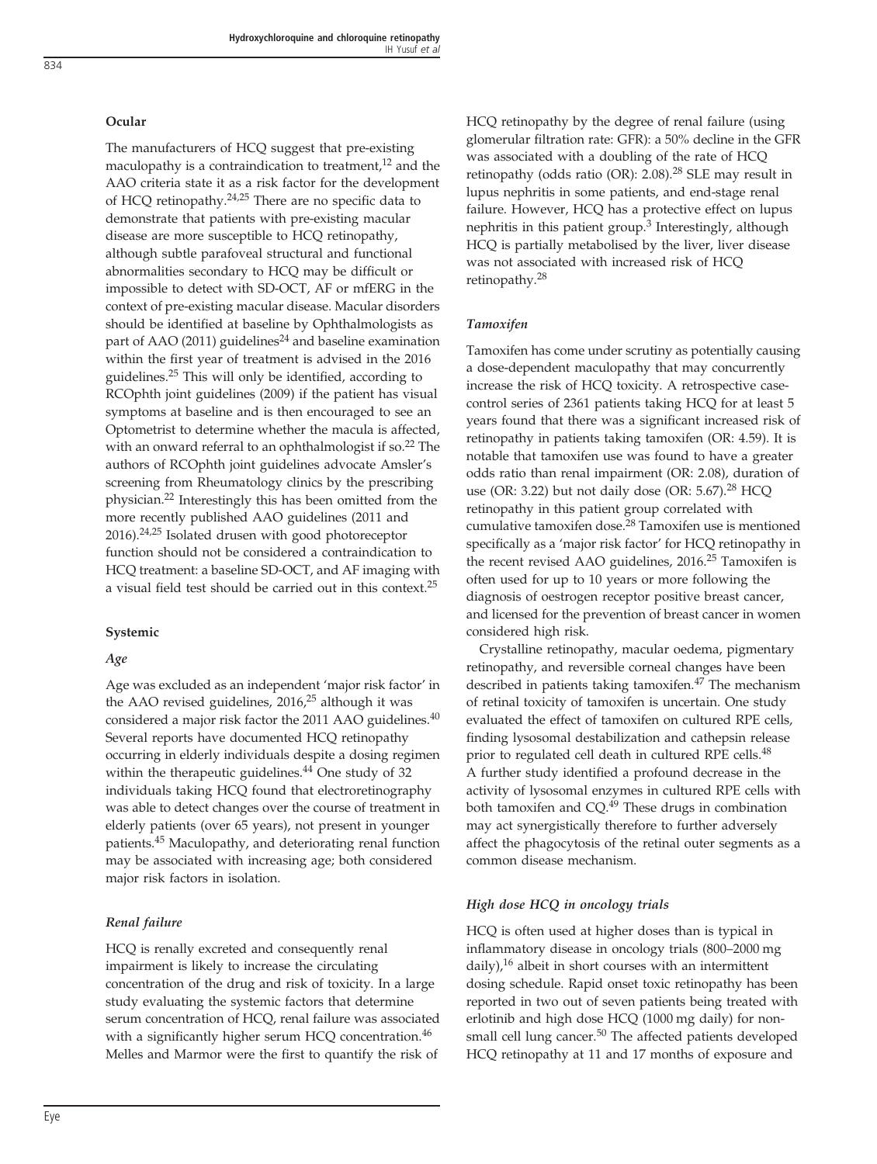#### Ocular

The manufacturers of HCQ suggest that pre-existing maculopathy is a contraindication to treatment, $12$  and the AAO criteria state it as a risk factor for the development of HCQ retinopathy.[24,25](#page-14-0) There are no specific data to demonstrate that patients with pre-existing macular disease are more susceptible to HCQ retinopathy, although subtle parafoveal structural and functional abnormalities secondary to HCQ may be difficult or impossible to detect with SD-OCT, AF or mfERG in the context of pre-existing macular disease. Macular disorders should be identified at baseline by Ophthalmologists as part of AAO (2011) guidelines<sup>[24](#page-14-0)</sup> and baseline examination within the first year of treatment is advised in the 2016 guidelines.[25](#page-14-0) This will only be identified, according to RCOphth joint guidelines (2009) if the patient has visual symptoms at baseline and is then encouraged to see an Optometrist to determine whether the macula is affected, with an onward referral to an ophthalmologist if so.<sup>[22](#page-14-0)</sup> The authors of RCOphth joint guidelines advocate Amsler's screening from Rheumatology clinics by the prescribing physician.[22](#page-14-0) Interestingly this has been omitted from the more recently published AAO guidelines (2011 and  $2016$ ).<sup>[24,25](#page-14-0)</sup> Isolated drusen with good photoreceptor function should not be considered a contraindication to HCQ treatment: a baseline SD-OCT, and AF imaging with a visual field test should be carried out in this context.[25](#page-14-0)

#### Systemic

## Age

Age was excluded as an independent 'major risk factor' in the AAO revised guidelines,  $2016$ <sup>25</sup> although it was considered a major risk factor the 2011 AAO guidelines.<sup>[40](#page-15-0)</sup> Several reports have documented HCQ retinopathy occurring in elderly individuals despite a dosing regimen within the therapeutic guidelines.<sup>[44](#page-15-0)</sup> One study of 32 individuals taking HCQ found that electroretinography was able to detect changes over the course of treatment in elderly patients (over 65 years), not present in younger patients.[45](#page-15-0) Maculopathy, and deteriorating renal function may be associated with increasing age; both considered major risk factors in isolation.

#### Renal failure

HCQ is renally excreted and consequently renal impairment is likely to increase the circulating concentration of the drug and risk of toxicity. In a large study evaluating the systemic factors that determine serum concentration of HCQ, renal failure was associated with a significantly higher serum HCQ concentration.<sup>[46](#page-15-0)</sup> Melles and Marmor were the first to quantify the risk of

HCQ retinopathy by the degree of renal failure (using glomerular filtration rate: GFR): a 50% decline in the GFR was associated with a doubling of the rate of HCQ retinopathy (odds ratio (OR):  $2.08$ ).<sup>[28](#page-15-0)</sup> SLE may result in lupus nephritis in some patients, and end-stage renal failure. However, HCQ has a protective effect on lupus nephritis in this patient group. $3$  Interestingly, although HCQ is partially metabolised by the liver, liver disease was not associated with increased risk of HCQ retinopathy.[28](#page-15-0)

#### Tamoxifen

Tamoxifen has come under scrutiny as potentially causing a dose-dependent maculopathy that may concurrently increase the risk of HCQ toxicity. A retrospective casecontrol series of 2361 patients taking HCQ for at least 5 years found that there was a significant increased risk of retinopathy in patients taking tamoxifen (OR: 4.59). It is notable that tamoxifen use was found to have a greater odds ratio than renal impairment (OR: 2.08), duration of use (OR: 3.22) but not daily dose (OR:  $5.67$ ).<sup>[28](#page-15-0)</sup> HCQ retinopathy in this patient group correlated with cumulative tamoxifen dose.[28](#page-15-0) Tamoxifen use is mentioned specifically as a 'major risk factor' for HCQ retinopathy in the recent revised AAO guidelines, 2016.<sup>[25](#page-14-0)</sup> Tamoxifen is often used for up to 10 years or more following the diagnosis of oestrogen receptor positive breast cancer, and licensed for the prevention of breast cancer in women considered high risk.

Crystalline retinopathy, macular oedema, pigmentary retinopathy, and reversible corneal changes have been described in patients taking tamoxifen.<sup>[47](#page-15-0)</sup> The mechanism of retinal toxicity of tamoxifen is uncertain. One study evaluated the effect of tamoxifen on cultured RPE cells, finding lysosomal destabilization and cathepsin release prior to regulated cell death in cultured RPE cells.<sup>48</sup> A further study identified a profound decrease in the activity of lysosomal enzymes in cultured RPE cells with both tamoxifen and CQ.<sup>[49](#page-15-0)</sup> These drugs in combination may act synergistically therefore to further adversely affect the phagocytosis of the retinal outer segments as a common disease mechanism.

## High dose HCQ in oncology trials

HCQ is often used at higher doses than is typical in inflammatory disease in oncology trials (800–2000 mg daily), $^{16}$  $^{16}$  $^{16}$  albeit in short courses with an intermittent dosing schedule. Rapid onset toxic retinopathy has been reported in two out of seven patients being treated with erlotinib and high dose HCQ (1000 mg daily) for non-small cell lung cancer.<sup>[50](#page-15-0)</sup> The affected patients developed HCQ retinopathy at 11 and 17 months of exposure and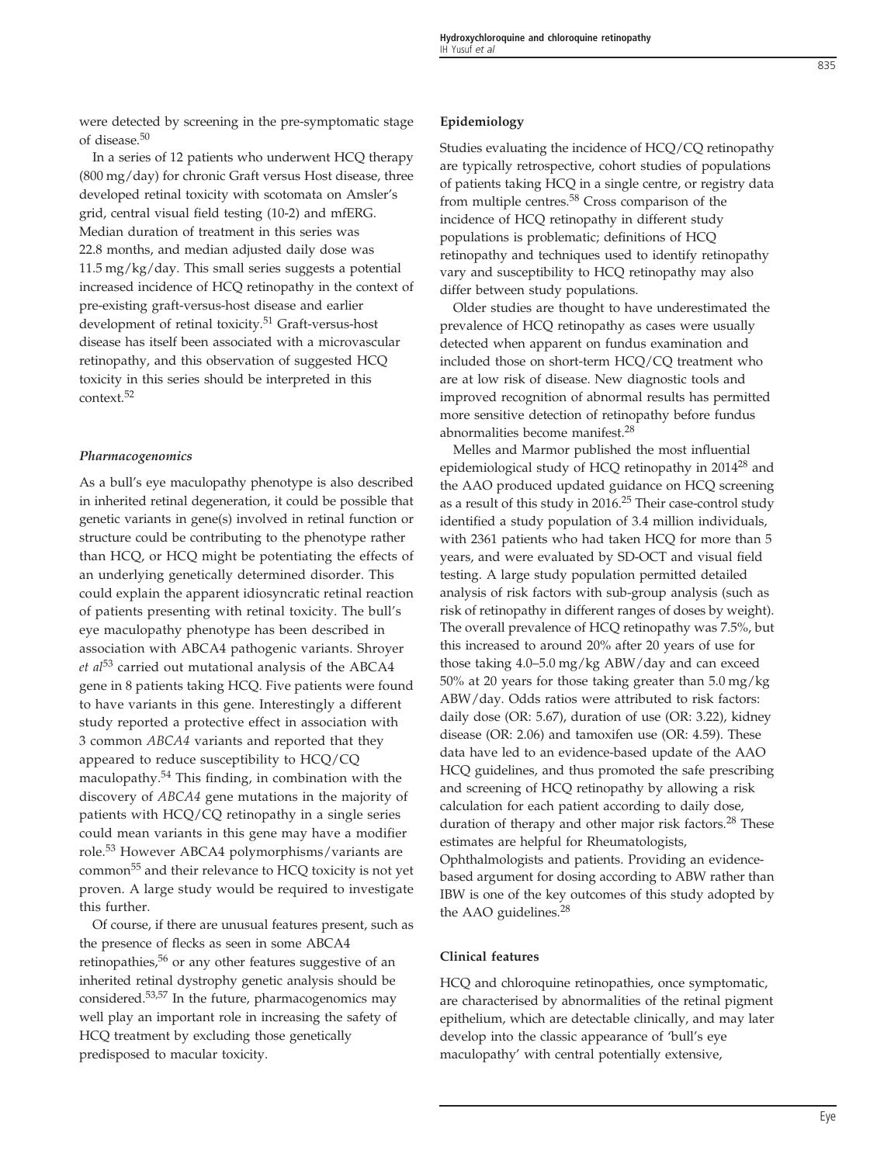were detected by screening in the pre-symptomatic stage of disease.[50](#page-15-0)

In a series of 12 patients who underwent HCQ therapy (800 mg/day) for chronic Graft versus Host disease, three developed retinal toxicity with scotomata on Amsler's grid, central visual field testing (10-2) and mfERG. Median duration of treatment in this series was 22.8 months, and median adjusted daily dose was  $11.5 \,\text{mg/kg/day}$ . This small series suggests a potential increased incidence of HCQ retinopathy in the context of pre-existing graft-versus-host disease and earlier development of retinal toxicity.[51](#page-15-0) Graft-versus-host disease has itself been associated with a microvascular retinopathy, and this observation of suggested HCQ toxicity in this series should be interpreted in this context.[52](#page-15-0)

#### Pharmacogenomics

As a bull's eye maculopathy phenotype is also described in inherited retinal degeneration, it could be possible that genetic variants in gene(s) involved in retinal function or structure could be contributing to the phenotype rather than HCQ, or HCQ might be potentiating the effects of an underlying genetically determined disorder. This could explain the apparent idiosyncratic retinal reaction of patients presenting with retinal toxicity. The bull's eye maculopathy phenotype has been described in association with ABCA4 pathogenic variants. Shroyer  $et$   $al^{53}$  $al^{53}$  $al^{53}$  carried out mutational analysis of the ABCA4 gene in 8 patients taking HCQ. Five patients were found to have variants in this gene. Interestingly a different study reported a protective effect in association with 3 common ABCA4 variants and reported that they appeared to reduce susceptibility to HCQ/CQ maculopathy.[54](#page-15-0) This finding, in combination with the discovery of ABCA4 gene mutations in the majority of patients with HCQ/CQ retinopathy in a single series could mean variants in this gene may have a modifier role.[53](#page-15-0) However ABCA4 polymorphisms/variants are common[55](#page-15-0) and their relevance to HCQ toxicity is not yet proven. A large study would be required to investigate this further.

Of course, if there are unusual features present, such as the presence of flecks as seen in some ABCA4 retinopathies,<sup>[56](#page-15-0)</sup> or any other features suggestive of an inherited retinal dystrophy genetic analysis should be considered.[53,57](#page-15-0) In the future, pharmacogenomics may well play an important role in increasing the safety of HCQ treatment by excluding those genetically predisposed to macular toxicity.

#### Epidemiology

Studies evaluating the incidence of HCQ/CQ retinopathy are typically retrospective, cohort studies of populations of patients taking HCQ in a single centre, or registry data from multiple centres.[58](#page-15-0) Cross comparison of the incidence of HCQ retinopathy in different study populations is problematic; definitions of HCQ retinopathy and techniques used to identify retinopathy vary and susceptibility to HCQ retinopathy may also differ between study populations.

Older studies are thought to have underestimated the prevalence of HCQ retinopathy as cases were usually detected when apparent on fundus examination and included those on short-term HCQ/CQ treatment who are at low risk of disease. New diagnostic tools and improved recognition of abnormal results has permitted more sensitive detection of retinopathy before fundus abnormalities become manifest.[28](#page-15-0)

Melles and Marmor published the most influential epidemiological study of HCQ retinopathy in 201[428](#page-15-0) and the AAO produced updated guidance on HCQ screening as a result of this study in 2016[.25](#page-14-0) Their case-control study identified a study population of 3.4 million individuals, with 2361 patients who had taken HCQ for more than 5 years, and were evaluated by SD-OCT and visual field testing. A large study population permitted detailed analysis of risk factors with sub-group analysis (such as risk of retinopathy in different ranges of doses by weight). The overall prevalence of HCQ retinopathy was 7.5%, but this increased to around 20% after 20 years of use for those taking 4.0–5.0 mg/kg ABW/day and can exceed 50% at 20 years for those taking greater than 5.0 mg/kg ABW/day. Odds ratios were attributed to risk factors: daily dose (OR: 5.67), duration of use (OR: 3.22), kidney disease (OR: 2.06) and tamoxifen use (OR: 4.59). These data have led to an evidence-based update of the AAO HCQ guidelines, and thus promoted the safe prescribing and screening of HCQ retinopathy by allowing a risk calculation for each patient according to daily dose, duration of therapy and other major risk factors.<sup>[28](#page-15-0)</sup> These estimates are helpful for Rheumatologists, Ophthalmologists and patients. Providing an evidencebased argument for dosing according to ABW rather than IBW is one of the key outcomes of this study adopted by the AAO guidelines.<sup>[28](#page-15-0)</sup>

#### Clinical features

HCQ and chloroquine retinopathies, once symptomatic, are characterised by abnormalities of the retinal pigment epithelium, which are detectable clinically, and may later develop into the classic appearance of 'bull's eye maculopathy' with central potentially extensive,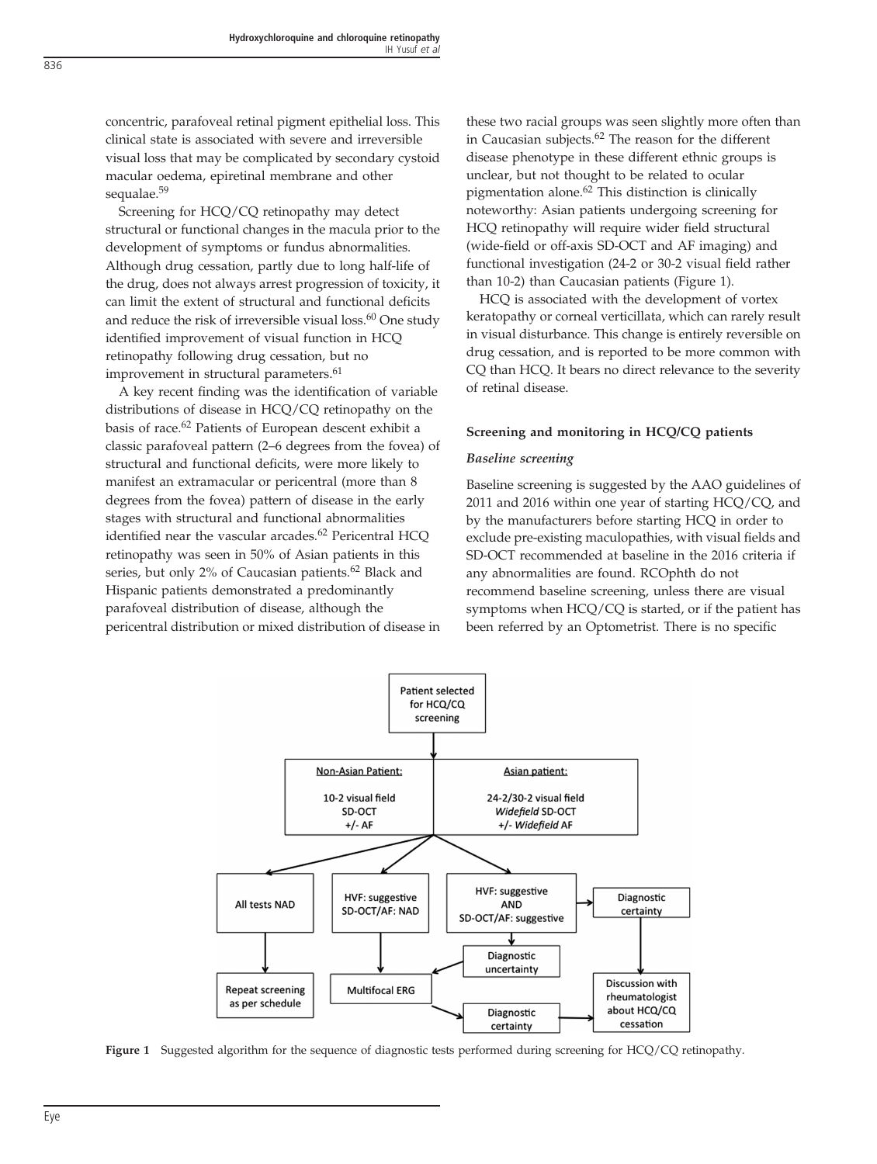<span id="page-8-0"></span>concentric, parafoveal retinal pigment epithelial loss. This clinical state is associated with severe and irreversible visual loss that may be complicated by secondary cystoid macular oedema, epiretinal membrane and other sequalae.<sup>[59](#page-16-0)</sup>

Screening for HCQ/CQ retinopathy may detect structural or functional changes in the macula prior to the development of symptoms or fundus abnormalities. Although drug cessation, partly due to long half-life of the drug, does not always arrest progression of toxicity, it can limit the extent of structural and functional deficits and reduce the risk of irreversible visual loss. $60$  One study identified improvement of visual function in HCQ retinopathy following drug cessation, but no improvement in structural parameters.<sup>[61](#page-16-0)</sup>

A key recent finding was the identification of variable distributions of disease in HCQ/CQ retinopathy on the basis of race.[62](#page-16-0) Patients of European descent exhibit a classic parafoveal pattern (2–6 degrees from the fovea) of structural and functional deficits, were more likely to manifest an extramacular or pericentral (more than 8 degrees from the fovea) pattern of disease in the early stages with structural and functional abnormalities identified near the vascular arcades.<sup>[62](#page-16-0)</sup> Pericentral HCO retinopathy was seen in 50% of Asian patients in this series, but only 2% of Caucasian patients.<sup>[62](#page-16-0)</sup> Black and Hispanic patients demonstrated a predominantly parafoveal distribution of disease, although the pericentral distribution or mixed distribution of disease in

these two racial groups was seen slightly more often than in Caucasian subjects. $62$  The reason for the different disease phenotype in these different ethnic groups is unclear, but not thought to be related to ocular pigmentation alone[.62](#page-16-0) This distinction is clinically noteworthy: Asian patients undergoing screening for HCQ retinopathy will require wider field structural (wide-field or off-axis SD-OCT and AF imaging) and functional investigation (24-2 or 30-2 visual field rather than 10-2) than Caucasian patients (Figure 1).

HCQ is associated with the development of vortex keratopathy or corneal verticillata, which can rarely result in visual disturbance. This change is entirely reversible on drug cessation, and is reported to be more common with CQ than HCQ. It bears no direct relevance to the severity of retinal disease.

## Screening and monitoring in HCQ/CQ patients

## Baseline screening

Baseline screening is suggested by the AAO guidelines of 2011 and 2016 within one year of starting HCQ/CQ, and by the manufacturers before starting HCQ in order to exclude pre-existing maculopathies, with visual fields and SD-OCT recommended at baseline in the 2016 criteria if any abnormalities are found. RCOphth do not recommend baseline screening, unless there are visual symptoms when HCQ/CQ is started, or if the patient has been referred by an Optometrist. There is no specific



Figure 1 Suggested algorithm for the sequence of diagnostic tests performed during screening for HCQ/CQ retinopathy.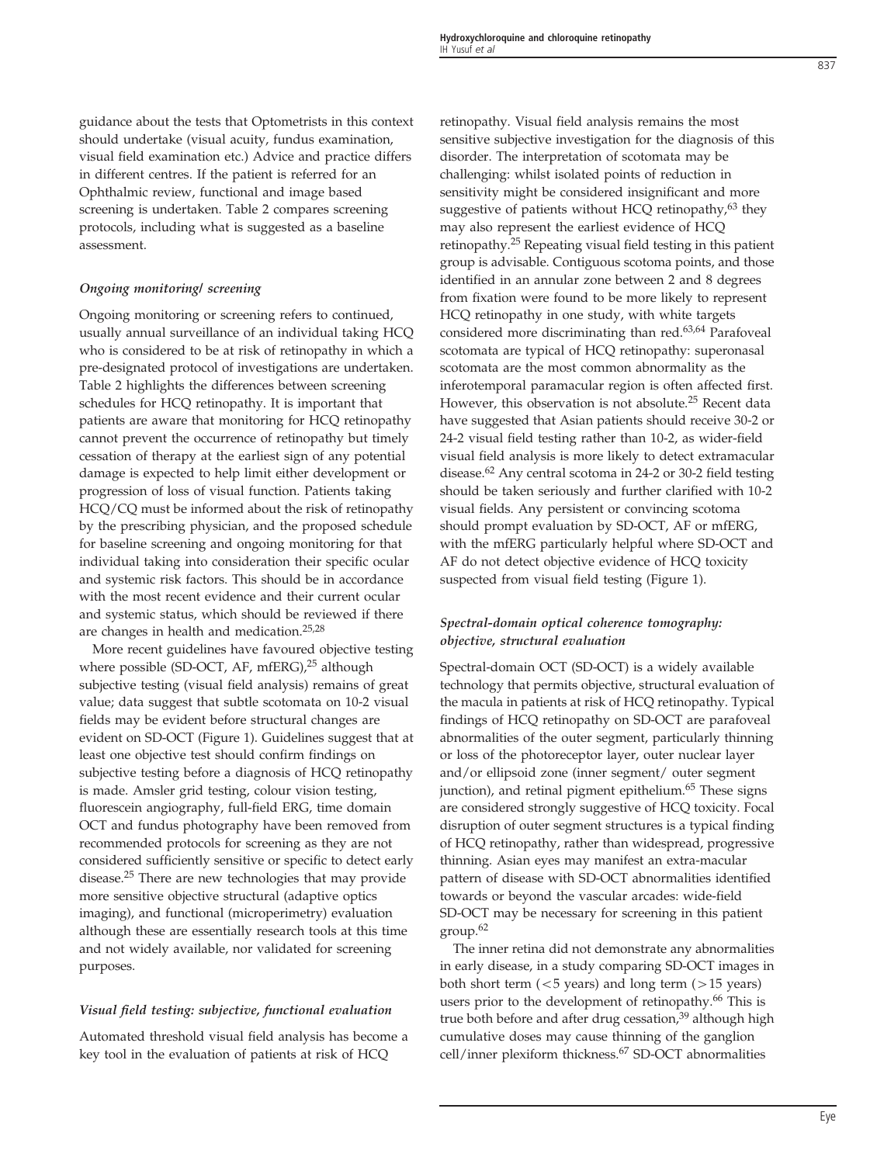guidance about the tests that Optometrists in this context should undertake (visual acuity, fundus examination, visual field examination etc.) Advice and practice differs in different centres. If the patient is referred for an Ophthalmic review, functional and image based screening is undertaken. [Table 2](#page-4-0) compares screening protocols, including what is suggested as a baseline assessment.

#### Ongoing monitoring/ screening

Ongoing monitoring or screening refers to continued, usually annual surveillance of an individual taking HCQ who is considered to be at risk of retinopathy in which a pre-designated protocol of investigations are undertaken. [Table 2](#page-4-0) highlights the differences between screening schedules for HCQ retinopathy. It is important that patients are aware that monitoring for HCQ retinopathy cannot prevent the occurrence of retinopathy but timely cessation of therapy at the earliest sign of any potential damage is expected to help limit either development or progression of loss of visual function. Patients taking HCQ/CQ must be informed about the risk of retinopathy by the prescribing physician, and the proposed schedule for baseline screening and ongoing monitoring for that individual taking into consideration their specific ocular and systemic risk factors. This should be in accordance with the most recent evidence and their current ocular and systemic status, which should be reviewed if there are changes in health and medication.[25](#page-14-0),[28](#page-15-0)

More recent guidelines have favoured objective testing where possible (SD-OCT, AF, mfERG), $^{25}$  $^{25}$  $^{25}$  although subjective testing (visual field analysis) remains of great value; data suggest that subtle scotomata on 10-2 visual fields may be evident before structural changes are evident on SD-OCT [\(Figure 1](#page-8-0)). Guidelines suggest that at least one objective test should confirm findings on subjective testing before a diagnosis of HCQ retinopathy is made. Amsler grid testing, colour vision testing, fluorescein angiography, full-field ERG, time domain OCT and fundus photography have been removed from recommended protocols for screening as they are not considered sufficiently sensitive or specific to detect early disease.[25](#page-14-0) There are new technologies that may provide more sensitive objective structural (adaptive optics imaging), and functional (microperimetry) evaluation although these are essentially research tools at this time and not widely available, nor validated for screening purposes.

## Visual field testing: subjective, functional evaluation

Automated threshold visual field analysis has become a key tool in the evaluation of patients at risk of HCQ

retinopathy. Visual field analysis remains the most sensitive subjective investigation for the diagnosis of this disorder. The interpretation of scotomata may be challenging: whilst isolated points of reduction in sensitivity might be considered insignificant and more suggestive of patients without HCQ retinopathy, $63$  they may also represent the earliest evidence of HCQ retinopathy.[25](#page-14-0) Repeating visual field testing in this patient group is advisable. Contiguous scotoma points, and those identified in an annular zone between 2 and 8 degrees from fixation were found to be more likely to represent HCQ retinopathy in one study, with white targets considered more discriminating than red.[63,64](#page-16-0) Parafoveal scotomata are typical of HCQ retinopathy: superonasal scotomata are the most common abnormality as the inferotemporal paramacular region is often affected first. However, this observation is not absolute.[25](#page-14-0) Recent data have suggested that Asian patients should receive 30-2 or 24-2 visual field testing rather than 10-2, as wider-field visual field analysis is more likely to detect extramacular disease.[62](#page-16-0) Any central scotoma in 24-2 or 30-2 field testing should be taken seriously and further clarified with 10-2 visual fields. Any persistent or convincing scotoma should prompt evaluation by SD-OCT, AF or mfERG, with the mfERG particularly helpful where SD-OCT and AF do not detect objective evidence of HCQ toxicity suspected from visual field testing [\(Figure 1\)](#page-8-0).

## Spectral-domain optical coherence tomography: objective, structural evaluation

Spectral-domain OCT (SD-OCT) is a widely available technology that permits objective, structural evaluation of the macula in patients at risk of HCQ retinopathy. Typical findings of HCQ retinopathy on SD-OCT are parafoveal abnormalities of the outer segment, particularly thinning or loss of the photoreceptor layer, outer nuclear layer and/or ellipsoid zone (inner segment/ outer segment junction), and retinal pigment epithelium.<sup>[65](#page-16-0)</sup> These signs are considered strongly suggestive of HCQ toxicity. Focal disruption of outer segment structures is a typical finding of HCQ retinopathy, rather than widespread, progressive thinning. Asian eyes may manifest an extra-macular pattern of disease with SD-OCT abnormalities identified towards or beyond the vascular arcades: wide-field SD-OCT may be necessary for screening in this patient group.[62](#page-16-0)

The inner retina did not demonstrate any abnormalities in early disease, in a study comparing SD-OCT images in both short term  $(<5$  years) and long term  $(>15$  years) users prior to the development of retinopathy.<sup>[66](#page-16-0)</sup> This is true both before and after drug cessation,<sup>[39](#page-15-0)</sup> although high cumulative doses may cause thinning of the ganglion cell/inner plexiform thickness.[67](#page-16-0) SD-OCT abnormalities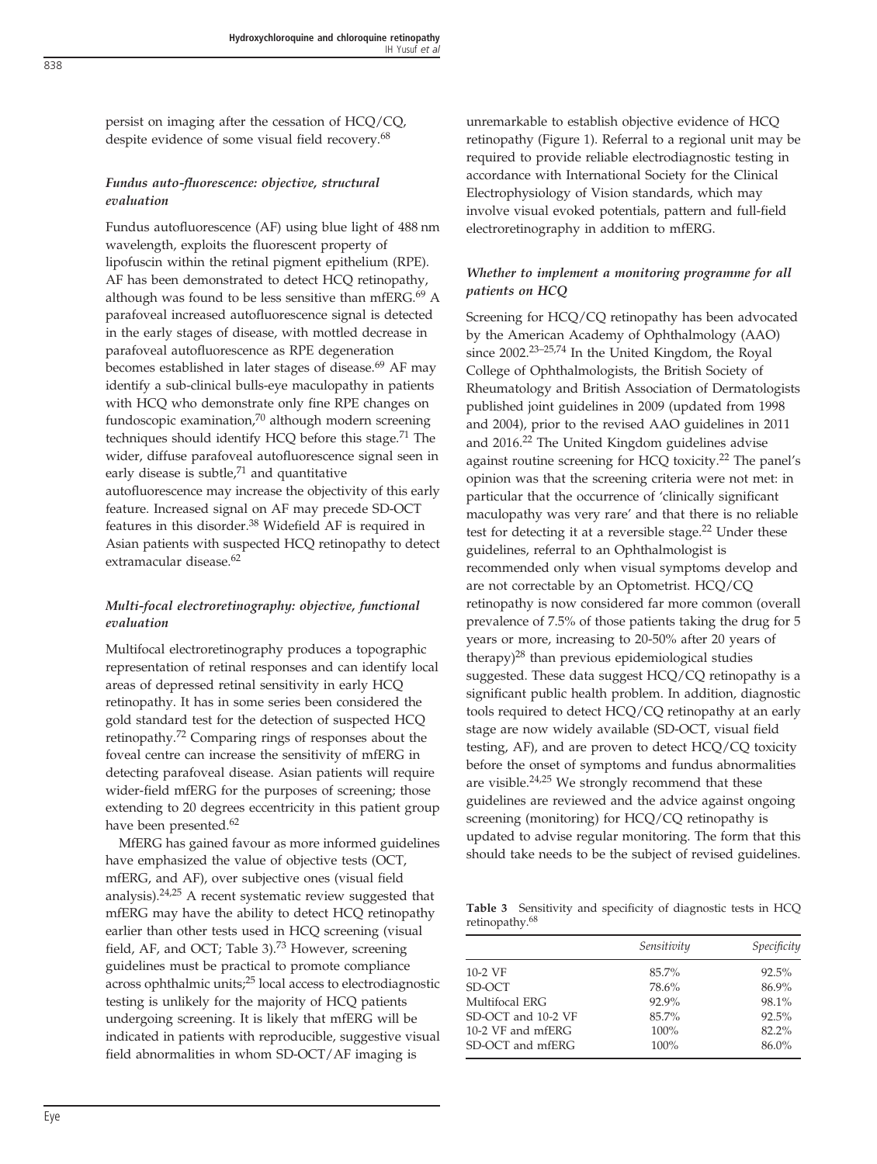<span id="page-10-0"></span>persist on imaging after the cessation of HCQ/CQ, despite evidence of some visual field recovery.<sup>[68](#page-16-0)</sup>

## Fundus auto-fluorescence: objective, structural evaluation

Fundus autofluorescence (AF) using blue light of 488 nm wavelength, exploits the fluorescent property of lipofuscin within the retinal pigment epithelium (RPE). AF has been demonstrated to detect HCQ retinopathy, although was found to be less sensitive than mfERG. $^{69}$  $^{69}$  $^{69}$  A parafoveal increased autofluorescence signal is detected in the early stages of disease, with mottled decrease in parafoveal autofluorescence as RPE degeneration becomes established in later stages of disease.<sup>[69](#page-16-0)</sup> AF may identify a sub-clinical bulls-eye maculopathy in patients with HCQ who demonstrate only fine RPE changes on fundoscopic examination,[70](#page-16-0) although modern screening techniques should identify HCQ before this stage.[71](#page-16-0) The wider, diffuse parafoveal autofluorescence signal seen in early disease is subtle, $71$  and quantitative autofluorescence may increase the objectivity of this early feature. Increased signal on AF may precede SD-OCT features in this disorder[.38](#page-15-0) Widefield AF is required in Asian patients with suspected HCQ retinopathy to detect extramacular disease.<sup>[62](#page-16-0)</sup>

## Multi-focal electroretinography: objective, functional evaluation

Multifocal electroretinography produces a topographic representation of retinal responses and can identify local areas of depressed retinal sensitivity in early HCQ retinopathy. It has in some series been considered the gold standard test for the detection of suspected HCQ retinopathy.[72](#page-16-0) Comparing rings of responses about the foveal centre can increase the sensitivity of mfERG in detecting parafoveal disease. Asian patients will require wider-field mfERG for the purposes of screening; those extending to 20 degrees eccentricity in this patient group have been presented.<sup>[62](#page-16-0)</sup>

MfERG has gained favour as more informed guidelines have emphasized the value of objective tests (OCT, mfERG, and AF), over subjective ones (visual field analysis). $24,25$  $24,25$  $24,25$  A recent systematic review suggested that mfERG may have the ability to detect HCQ retinopathy earlier than other tests used in HCQ screening (visual field, AF, and OCT; Table 3).[73](#page-16-0) However, screening guidelines must be practical to promote compliance across ophthalmic units;<sup>[25](#page-14-0)</sup> local access to electrodiagnostic testing is unlikely for the majority of HCQ patients undergoing screening. It is likely that mfERG will be indicated in patients with reproducible, suggestive visual field abnormalities in whom SD-OCT/AF imaging is

unremarkable to establish objective evidence of HCQ retinopathy [\(Figure 1](#page-8-0)). Referral to a regional unit may be required to provide reliable electrodiagnostic testing in accordance with International Society for the Clinical Electrophysiology of Vision standards, which may involve visual evoked potentials, pattern and full-field electroretinography in addition to mfERG.

## Whether to implement a monitoring programme for all patients on HCQ

Screening for HCQ/CQ retinopathy has been advocated by the American Academy of Ophthalmology (AAO) since 2002.[23](#page-14-0)–25,[74](#page-16-0) In the United Kingdom, the Royal College of Ophthalmologists, the British Society of Rheumatology and British Association of Dermatologists published joint guidelines in 2009 (updated from 1998 and 2004), prior to the revised AAO guidelines in 2011 and 2016.[22](#page-14-0) The United Kingdom guidelines advise against routine screening for HCQ toxicity.[22](#page-14-0) The panel's opinion was that the screening criteria were not met: in particular that the occurrence of 'clinically significant maculopathy was very rare' and that there is no reliable test for detecting it at a reversible stage. $22$  Under these guidelines, referral to an Ophthalmologist is recommended only when visual symptoms develop and are not correctable by an Optometrist. HCQ/CQ retinopathy is now considered far more common (overall prevalence of 7.5% of those patients taking the drug for 5 years or more, increasing to 20-50% after 20 years of therapy)[28](#page-15-0) than previous epidemiological studies suggested. These data suggest HCQ/CQ retinopathy is a significant public health problem. In addition, diagnostic tools required to detect HCQ/CQ retinopathy at an early stage are now widely available (SD-OCT, visual field testing, AF), and are proven to detect HCQ/CQ toxicity before the onset of symptoms and fundus abnormalities are visible. $24,25$  We strongly recommend that these guidelines are reviewed and the advice against ongoing screening (monitoring) for HCQ/CQ retinopathy is updated to advise regular monitoring. The form that this should take needs to be the subject of revised guidelines.

Table 3 Sensitivity and specificity of diagnostic tests in HCQ retinopathy[.68](#page-16-0)

|                    | Sensitivity | Specificity |
|--------------------|-------------|-------------|
| $10-2$ VF          | 85.7%       | 92.5%       |
| SD-OCT             | 78.6%       | 86.9%       |
| Multifocal ERG     | 92.9%       | 98.1%       |
| SD-OCT and 10-2 VF | 85.7%       | 92.5%       |
| 10-2 VF and mfERG  | 100%        | 82.2%       |
| SD-OCT and mfERG   | 100%        | 86.0%       |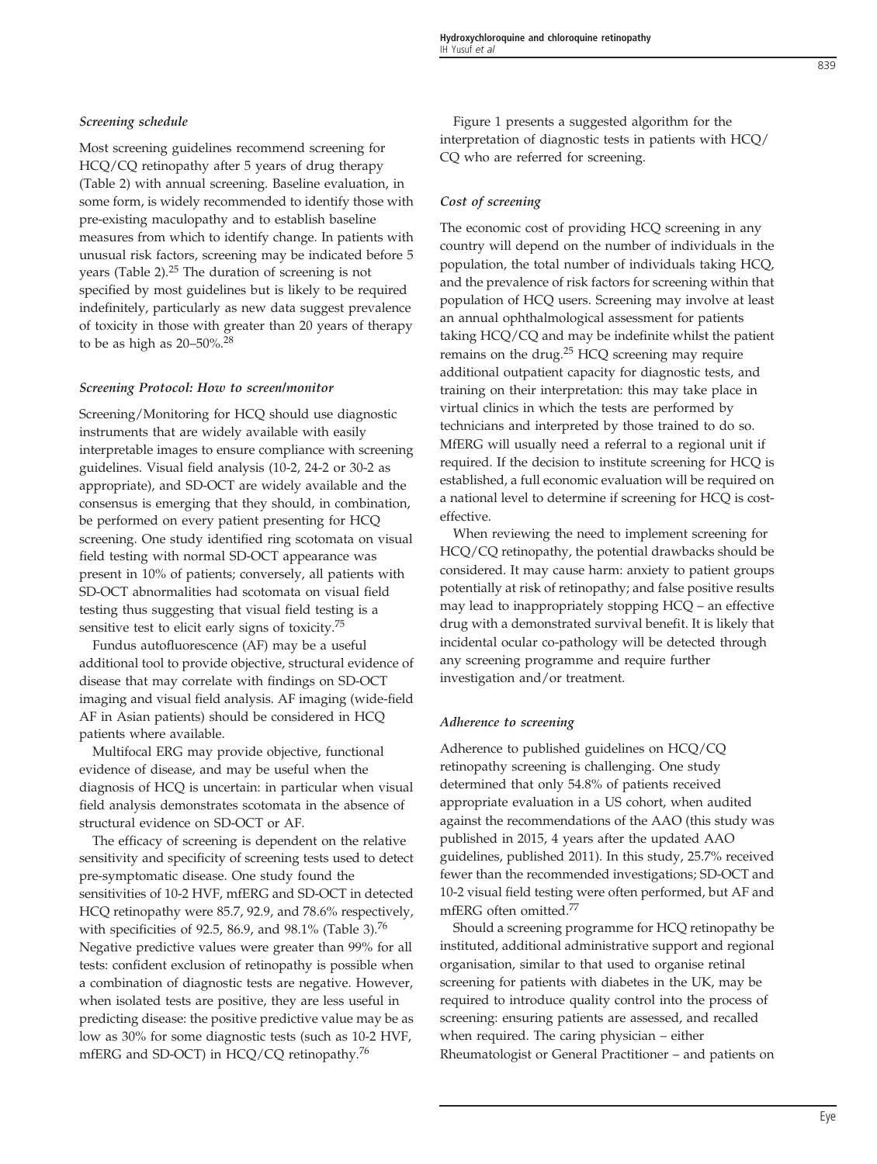# Screening schedule

Most screening guidelines recommend screening for HCQ/CQ retinopathy after 5 years of drug therapy ([Table 2\)](#page-4-0) with annual screening. Baseline evaluation, in some form, is widely recommended to identify those with pre-existing maculopathy and to establish baseline measures from which to identify change. In patients with unusual risk factors, screening may be indicated before 5 years ([Table 2\)](#page-4-0).[25](#page-14-0) The duration of screening is not specified by most guidelines but is likely to be required indefinitely, particularly as new data suggest prevalence of toxicity in those with greater than 20 years of therapy to be as high as  $20-50\%$ .<sup>[28](#page-15-0)</sup>

# Screening Protocol: How to screen/monitor

Screening/Monitoring for HCQ should use diagnostic instruments that are widely available with easily interpretable images to ensure compliance with screening guidelines. Visual field analysis (10-2, 24-2 or 30-2 as appropriate), and SD-OCT are widely available and the consensus is emerging that they should, in combination, be performed on every patient presenting for HCQ screening. One study identified ring scotomata on visual field testing with normal SD-OCT appearance was present in 10% of patients; conversely, all patients with SD-OCT abnormalities had scotomata on visual field testing thus suggesting that visual field testing is a sensitive test to elicit early signs of toxicity.<sup>[75](#page-16-0)</sup>

Fundus autofluorescence (AF) may be a useful additional tool to provide objective, structural evidence of disease that may correlate with findings on SD-OCT imaging and visual field analysis. AF imaging (wide-field AF in Asian patients) should be considered in HCQ patients where available.

Multifocal ERG may provide objective, functional evidence of disease, and may be useful when the diagnosis of HCQ is uncertain: in particular when visual field analysis demonstrates scotomata in the absence of structural evidence on SD-OCT or AF.

The efficacy of screening is dependent on the relative sensitivity and specificity of screening tests used to detect pre-symptomatic disease. One study found the sensitivities of 10-2 HVF, mfERG and SD-OCT in detected HCQ retinopathy were 85.7, 92.9, and 78.6% respectively, with specificities of 92.5, 86.9, and 98.1% [\(Table 3](#page-10-0)).<sup>[76](#page-16-0)</sup> Negative predictive values were greater than 99% for all tests: confident exclusion of retinopathy is possible when a combination of diagnostic tests are negative. However, when isolated tests are positive, they are less useful in predicting disease: the positive predictive value may be as low as 30% for some diagnostic tests (such as 10-2 HVF, mfERG and SD-OCT) in HCQ/CQ retinopathy.<sup>[76](#page-16-0)</sup>

[Figure 1](#page-8-0) presents a suggested algorithm for the interpretation of diagnostic tests in patients with HCQ/ CQ who are referred for screening.

# Cost of screening

The economic cost of providing HCQ screening in any country will depend on the number of individuals in the population, the total number of individuals taking HCQ, and the prevalence of risk factors for screening within that population of HCQ users. Screening may involve at least an annual ophthalmological assessment for patients taking HCQ/CQ and may be indefinite whilst the patient remains on the drug. $25$  HCQ screening may require additional outpatient capacity for diagnostic tests, and training on their interpretation: this may take place in virtual clinics in which the tests are performed by technicians and interpreted by those trained to do so. MfERG will usually need a referral to a regional unit if required. If the decision to institute screening for HCQ is established, a full economic evaluation will be required on a national level to determine if screening for HCQ is costeffective.

When reviewing the need to implement screening for HCQ/CQ retinopathy, the potential drawbacks should be considered. It may cause harm: anxiety to patient groups potentially at risk of retinopathy; and false positive results may lead to inappropriately stopping HCQ – an effective drug with a demonstrated survival benefit. It is likely that incidental ocular co-pathology will be detected through any screening programme and require further investigation and/or treatment.

# Adherence to screening

Adherence to published guidelines on HCQ/CQ retinopathy screening is challenging. One study determined that only 54.8% of patients received appropriate evaluation in a US cohort, when audited against the recommendations of the AAO (this study was published in 2015, 4 years after the updated AAO guidelines, published 2011). In this study, 25.7% received fewer than the recommended investigations; SD-OCT and 10-2 visual field testing were often performed, but AF and mfERG often omitted.[77](#page-16-0)

Should a screening programme for HCQ retinopathy be instituted, additional administrative support and regional organisation, similar to that used to organise retinal screening for patients with diabetes in the UK, may be required to introduce quality control into the process of screening: ensuring patients are assessed, and recalled when required. The caring physician – either Rheumatologist or General Practitioner – and patients on 839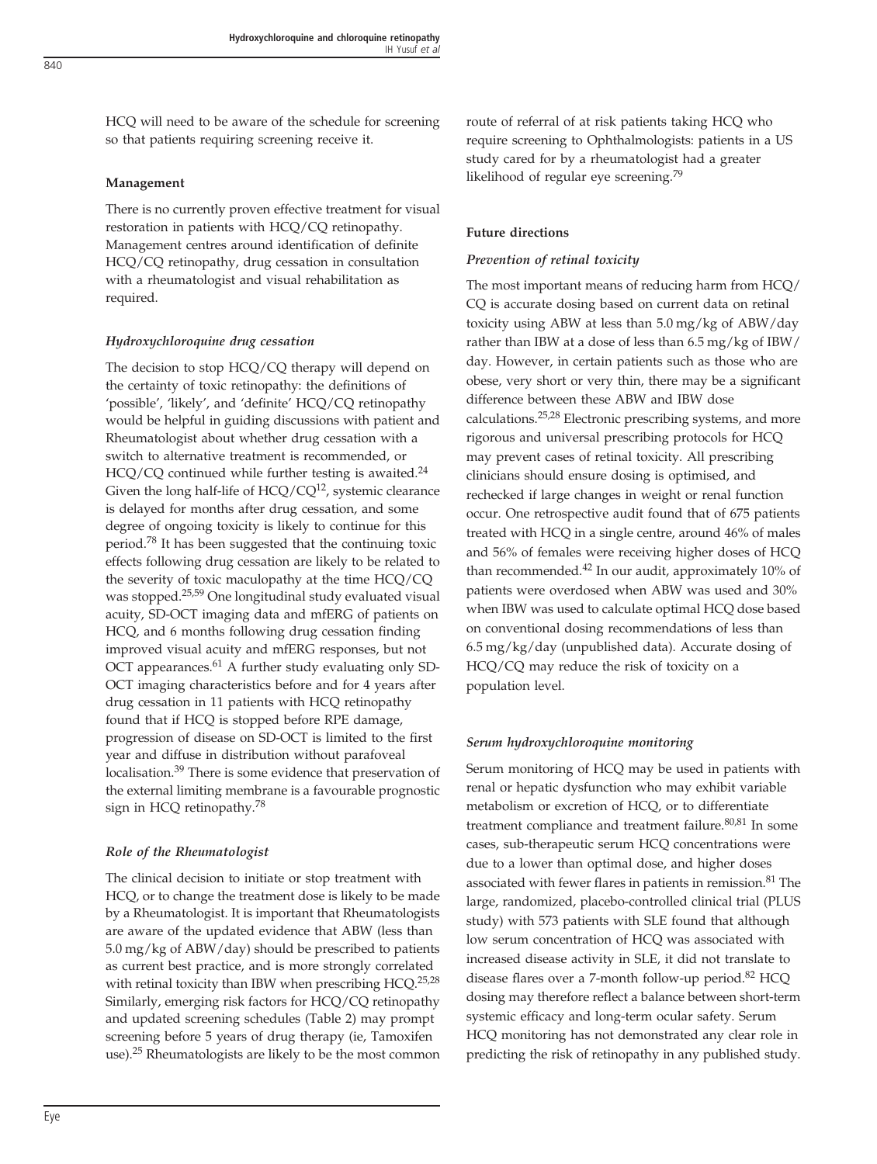HCQ will need to be aware of the schedule for screening so that patients requiring screening receive it.

## Management

There is no currently proven effective treatment for visual restoration in patients with HCQ/CQ retinopathy. Management centres around identification of definite HCQ/CQ retinopathy, drug cessation in consultation with a rheumatologist and visual rehabilitation as required.

## Hydroxychloroquine drug cessation

The decision to stop HCQ/CQ therapy will depend on the certainty of toxic retinopathy: the definitions of 'possible', 'likely', and 'definite' HCQ/CQ retinopathy would be helpful in guiding discussions with patient and Rheumatologist about whether drug cessation with a switch to alternative treatment is recommended, or HCQ/CQ continued while further testing is awaited.<sup>[24](#page-14-0)</sup> Given the long half-life of  $HCQ/CQ^{12}$ , systemic clearance is delayed for months after drug cessation, and some degree of ongoing toxicity is likely to continue for this period.[78](#page-16-0) It has been suggested that the continuing toxic effects following drug cessation are likely to be related to the severity of toxic maculopathy at the time HCQ/CQ was stopped.[25](#page-14-0),[59](#page-16-0) One longitudinal study evaluated visual acuity, SD-OCT imaging data and mfERG of patients on HCQ, and 6 months following drug cessation finding improved visual acuity and mfERG responses, but not OCT appearances.<sup>[61](#page-16-0)</sup> A further study evaluating only SD-OCT imaging characteristics before and for 4 years after drug cessation in 11 patients with HCQ retinopathy found that if HCQ is stopped before RPE damage, progression of disease on SD-OCT is limited to the first year and diffuse in distribution without parafoveal localisation.[39](#page-15-0) There is some evidence that preservation of the external limiting membrane is a favourable prognostic sign in HCQ retinopathy.[78](#page-16-0)

## Role of the Rheumatologist

The clinical decision to initiate or stop treatment with HCQ, or to change the treatment dose is likely to be made by a Rheumatologist. It is important that Rheumatologists are aware of the updated evidence that ABW (less than 5.0 mg/kg of ABW/day) should be prescribed to patients as current best practice, and is more strongly correlated with retinal toxicity than IBW when prescribing HCQ.<sup>[25](#page-14-0)[,28](#page-15-0)</sup> Similarly, emerging risk factors for HCQ/CQ retinopathy and updated screening schedules [\(Table 2](#page-4-0)) may prompt screening before 5 years of drug therapy (ie, Tamoxifen use).[25](#page-14-0) Rheumatologists are likely to be the most common route of referral of at risk patients taking HCQ who require screening to Ophthalmologists: patients in a US study cared for by a rheumatologist had a greater likelihood of regular eye screening.[79](#page-16-0)

## Future directions

## Prevention of retinal toxicity

The most important means of reducing harm from HCQ/ CQ is accurate dosing based on current data on retinal toxicity using ABW at less than 5.0 mg/kg of ABW/day rather than IBW at a dose of less than 6.5 mg/kg of IBW/ day. However, in certain patients such as those who are obese, very short or very thin, there may be a significant difference between these ABW and IBW dose calculations.[25](#page-14-0),[28](#page-15-0) Electronic prescribing systems, and more rigorous and universal prescribing protocols for HCQ may prevent cases of retinal toxicity. All prescribing clinicians should ensure dosing is optimised, and rechecked if large changes in weight or renal function occur. One retrospective audit found that of 675 patients treated with HCQ in a single centre, around 46% of males and 56% of females were receiving higher doses of HCQ than recommended.[42](#page-15-0) In our audit, approximately 10% of patients were overdosed when ABW was used and 30% when IBW was used to calculate optimal HCQ dose based on conventional dosing recommendations of less than 6.5 mg/kg/day (unpublished data). Accurate dosing of HCQ/CQ may reduce the risk of toxicity on a population level.

## Serum hydroxychloroquine monitoring

Serum monitoring of HCQ may be used in patients with renal or hepatic dysfunction who may exhibit variable metabolism or excretion of HCQ, or to differentiate treatment compliance and treatment failure.<sup>[80,81](#page-16-0)</sup> In some cases, sub-therapeutic serum HCQ concentrations were due to a lower than optimal dose, and higher doses associated with fewer flares in patients in remission.<sup>[81](#page-16-0)</sup> The large, randomized, placebo-controlled clinical trial (PLUS study) with 573 patients with SLE found that although low serum concentration of HCQ was associated with increased disease activity in SLE, it did not translate to disease flares over a 7-month follow-up period.[82](#page-16-0) HCQ dosing may therefore reflect a balance between short-term systemic efficacy and long-term ocular safety. Serum HCQ monitoring has not demonstrated any clear role in predicting the risk of retinopathy in any published study.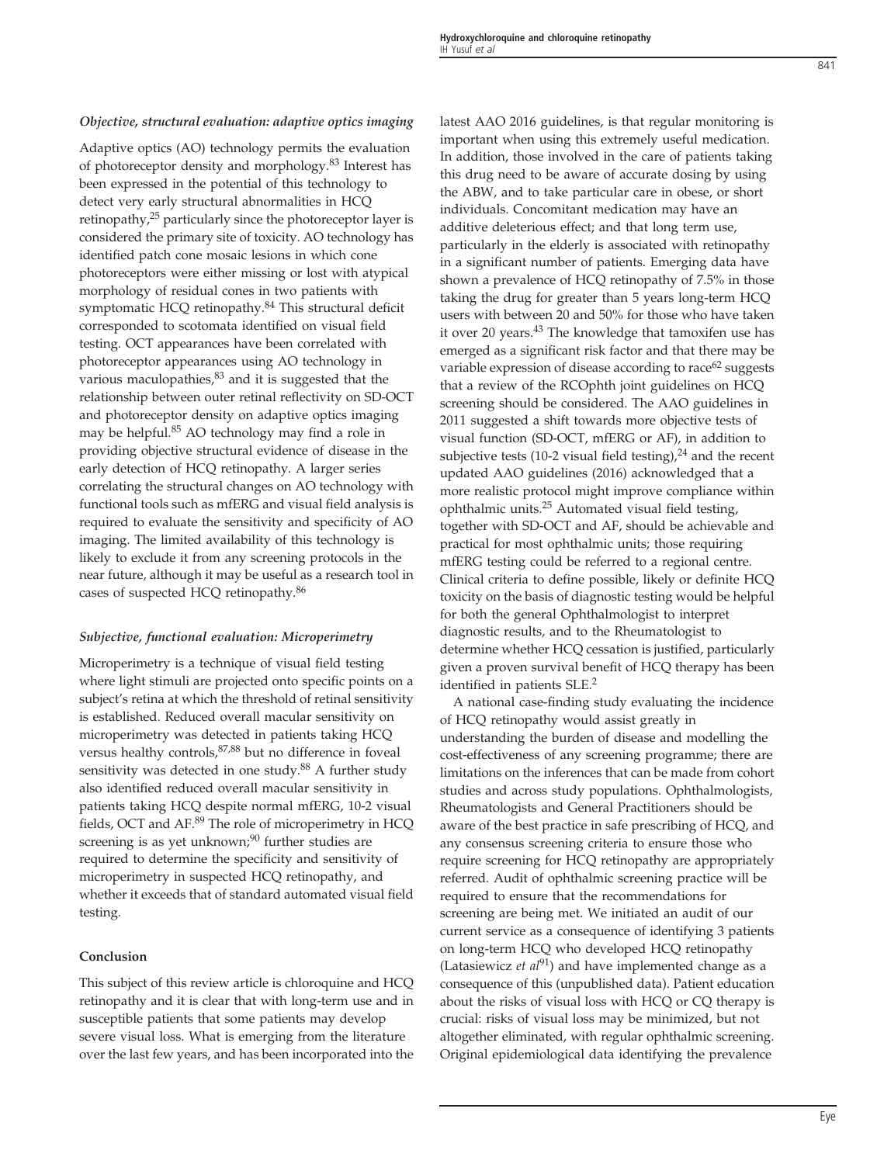## Objective, structural evaluation: adaptive optics imaging

Adaptive optics (AO) technology permits the evaluation of photoreceptor density and morphology.[83](#page-16-0) Interest has been expressed in the potential of this technology to detect very early structural abnormalities in HCQ retinopathy,<sup>[25](#page-14-0)</sup> particularly since the photoreceptor layer is considered the primary site of toxicity. AO technology has identified patch cone mosaic lesions in which cone photoreceptors were either missing or lost with atypical morphology of residual cones in two patients with symptomatic HCQ retinopathy.<sup>[84](#page-16-0)</sup> This structural deficit corresponded to scotomata identified on visual field testing. OCT appearances have been correlated with photoreceptor appearances using AO technology in various maculopathies, $83$  and it is suggested that the relationship between outer retinal reflectivity on SD-OCT and photoreceptor density on adaptive optics imaging may be helpful.[85](#page-16-0) AO technology may find a role in providing objective structural evidence of disease in the early detection of HCQ retinopathy. A larger series correlating the structural changes on AO technology with functional tools such as mfERG and visual field analysis is required to evaluate the sensitivity and specificity of AO imaging. The limited availability of this technology is likely to exclude it from any screening protocols in the near future, although it may be useful as a research tool in cases of suspected HCQ retinopathy.[86](#page-16-0)

## Subjective, functional evaluation: Microperimetry

Microperimetry is a technique of visual field testing where light stimuli are projected onto specific points on a subject's retina at which the threshold of retinal sensitivity is established. Reduced overall macular sensitivity on microperimetry was detected in patients taking HCQ versus healthy controls,  $87,88$  but no difference in foveal sensitivity was detected in one study.<sup>[88](#page-16-0)</sup> A further study also identified reduced overall macular sensitivity in patients taking HCQ despite normal mfERG, 10-2 visual fields, OCT and AF.<sup>[89](#page-17-0)</sup> The role of microperimetry in HCQ screening is as yet unknown; $90$  further studies are required to determine the specificity and sensitivity of microperimetry in suspected HCQ retinopathy, and whether it exceeds that of standard automated visual field testing.

## Conclusion

This subject of this review article is chloroquine and HCQ retinopathy and it is clear that with long-term use and in susceptible patients that some patients may develop severe visual loss. What is emerging from the literature over the last few years, and has been incorporated into the latest AAO 2016 guidelines, is that regular monitoring is important when using this extremely useful medication. In addition, those involved in the care of patients taking this drug need to be aware of accurate dosing by using the ABW, and to take particular care in obese, or short individuals. Concomitant medication may have an additive deleterious effect; and that long term use, particularly in the elderly is associated with retinopathy in a significant number of patients. Emerging data have shown a prevalence of HCQ retinopathy of 7.5% in those taking the drug for greater than 5 years long-term HCQ users with between 20 and 50% for those who have taken it over 20 years.[43](#page-15-0) The knowledge that tamoxifen use has emerged as a significant risk factor and that there may be variable expression of disease according to race<sup>[62](#page-16-0)</sup> suggests that a review of the RCOphth joint guidelines on HCQ screening should be considered. The AAO guidelines in 2011 suggested a shift towards more objective tests of visual function (SD-OCT, mfERG or AF), in addition to subjective tests (10-2 visual field testing), $^{24}$  $^{24}$  $^{24}$  and the recent updated AAO guidelines (2016) acknowledged that a more realistic protocol might improve compliance within ophthalmic units.[25](#page-14-0) Automated visual field testing, together with SD-OCT and AF, should be achievable and practical for most ophthalmic units; those requiring mfERG testing could be referred to a regional centre. Clinical criteria to define possible, likely or definite HCQ toxicity on the basis of diagnostic testing would be helpful for both the general Ophthalmologist to interpret diagnostic results, and to the Rheumatologist to determine whether HCQ cessation is justified, particularly given a proven survival benefit of HCQ therapy has been identified in patients SLE.<sup>[2](#page-14-0)</sup>

A national case-finding study evaluating the incidence of HCQ retinopathy would assist greatly in understanding the burden of disease and modelling the cost-effectiveness of any screening programme; there are limitations on the inferences that can be made from cohort studies and across study populations. Ophthalmologists, Rheumatologists and General Practitioners should be aware of the best practice in safe prescribing of HCQ, and any consensus screening criteria to ensure those who require screening for HCQ retinopathy are appropriately referred. Audit of ophthalmic screening practice will be required to ensure that the recommendations for screening are being met. We initiated an audit of our current service as a consequence of identifying 3 patients on long-term HCQ who developed HCQ retinopathy (Latasiewicz *et al*<sup>[91](#page-17-0)</sup>) and have implemented change as a consequence of this (unpublished data). Patient education about the risks of visual loss with HCQ or CQ therapy is crucial: risks of visual loss may be minimized, but not altogether eliminated, with regular ophthalmic screening. Original epidemiological data identifying the prevalence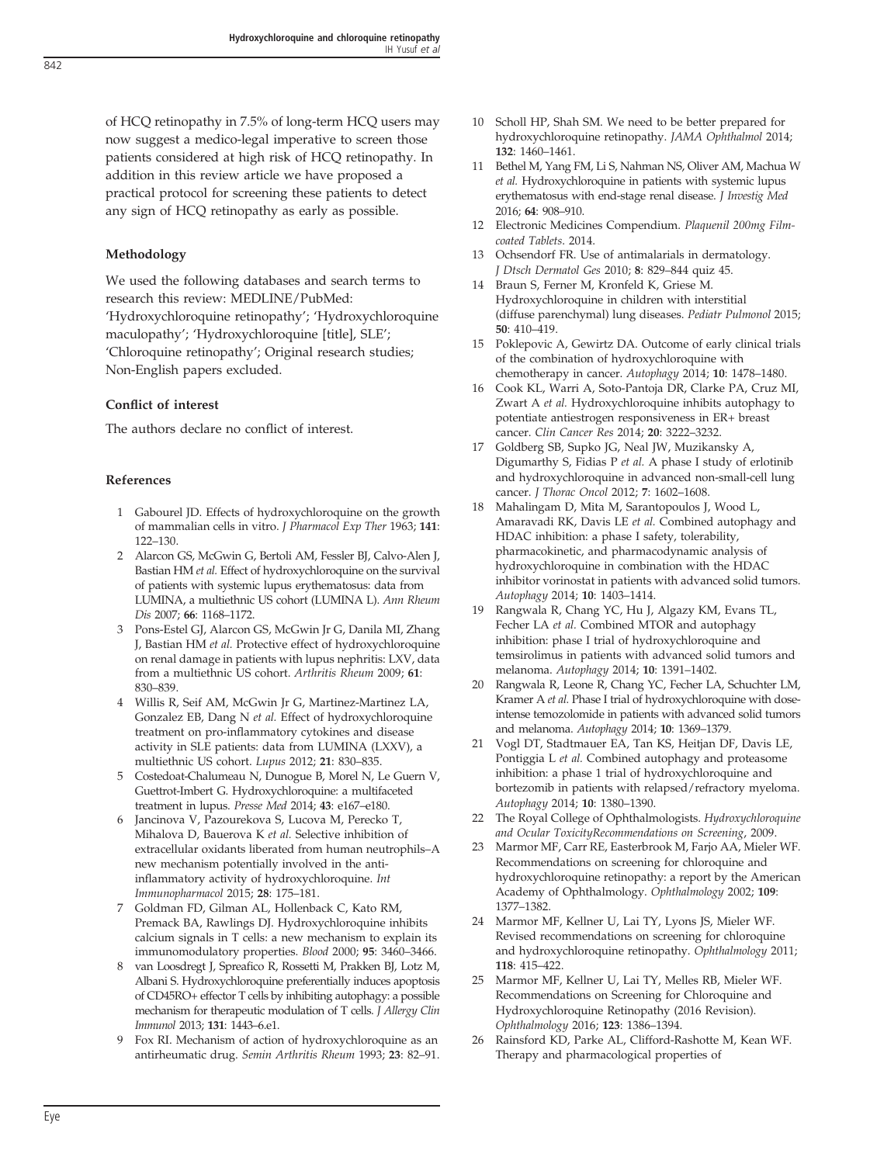<span id="page-14-0"></span>of HCQ retinopathy in 7.5% of long-term HCQ users may now suggest a medico-legal imperative to screen those patients considered at high risk of HCQ retinopathy. In addition in this review article we have proposed a practical protocol for screening these patients to detect any sign of HCQ retinopathy as early as possible.

## Methodology

We used the following databases and search terms to research this review: MEDLINE/PubMed: 'Hydroxychloroquine retinopathy'; 'Hydroxychloroquine maculopathy'; 'Hydroxychloroquine [title], SLE'; 'Chloroquine retinopathy'; Original research studies; Non-English papers excluded.

## Conflict of interest

The authors declare no conflict of interest.

## References

- 1 Gabourel JD. Effects of hydroxychloroquine on the growth of mammalian cells in vitro. J Pharmacol Exp Ther 1963; 141: 122–130.
- 2 Alarcon GS, McGwin G, Bertoli AM, Fessler BJ, Calvo-Alen J, Bastian HM et al. Effect of hydroxychloroquine on the survival of patients with systemic lupus erythematosus: data from LUMINA, a multiethnic US cohort (LUMINA L). Ann Rheum Dis 2007; 66: 1168–1172.
- 3 Pons-Estel GJ, Alarcon GS, McGwin Jr G, Danila MI, Zhang J, Bastian HM et al. Protective effect of hydroxychloroquine on renal damage in patients with lupus nephritis: LXV, data from a multiethnic US cohort. Arthritis Rheum 2009; 61: 830–839.
- 4 Willis R, Seif AM, McGwin Jr G, Martinez-Martinez LA, Gonzalez EB, Dang N et al. Effect of hydroxychloroquine treatment on pro-inflammatory cytokines and disease activity in SLE patients: data from LUMINA (LXXV), a multiethnic US cohort. Lupus 2012; 21: 830–835.
- 5 Costedoat-Chalumeau N, Dunogue B, Morel N, Le Guern V, Guettrot-Imbert G. Hydroxychloroquine: a multifaceted treatment in lupus. Presse Med 2014; 43: e167–e180.
- 6 Jancinova V, Pazourekova S, Lucova M, Perecko T, Mihalova D, Bauerova K et al. Selective inhibition of extracellular oxidants liberated from human neutrophils–A new mechanism potentially involved in the antiinflammatory activity of hydroxychloroquine. Int Immunopharmacol 2015; 28: 175–181.
- 7 Goldman FD, Gilman AL, Hollenback C, Kato RM, Premack BA, Rawlings DJ. Hydroxychloroquine inhibits calcium signals in T cells: a new mechanism to explain its immunomodulatory properties. Blood 2000; 95: 3460–3466.
- 8 van Loosdregt J, Spreafico R, Rossetti M, Prakken BJ, Lotz M, Albani S. Hydroxychloroquine preferentially induces apoptosis of CD45RO+ effector T cells by inhibiting autophagy: a possible mechanism for therapeutic modulation of T cells. J Allergy Clin Immunol 2013; 131: 1443–6.e1.
- 9 Fox RI. Mechanism of action of hydroxychloroquine as an antirheumatic drug. Semin Arthritis Rheum 1993; 23: 82–91.
- 10 Scholl HP, Shah SM. We need to be better prepared for hydroxychloroquine retinopathy. JAMA Ophthalmol 2014; 132: 1460–1461.
- 11 Bethel M, Yang FM, Li S, Nahman NS, Oliver AM, Machua W et al. Hydroxychloroquine in patients with systemic lupus erythematosus with end-stage renal disease. J Investig Med 2016; 64: 908–910.
- 12 Electronic Medicines Compendium. Plaquenil 200mg Filmcoated Tablets. 2014.
- 13 Ochsendorf FR. Use of antimalarials in dermatology. J Dtsch Dermatol Ges 2010; 8: 829–844 quiz 45.
- 14 Braun S, Ferner M, Kronfeld K, Griese M. Hydroxychloroquine in children with interstitial (diffuse parenchymal) lung diseases. Pediatr Pulmonol 2015; 50: 410–419.
- 15 Poklepovic A, Gewirtz DA. Outcome of early clinical trials of the combination of hydroxychloroquine with chemotherapy in cancer. Autophagy 2014; 10: 1478–1480.
- 16 Cook KL, Warri A, Soto-Pantoja DR, Clarke PA, Cruz MI, Zwart A et al. Hydroxychloroquine inhibits autophagy to potentiate antiestrogen responsiveness in ER+ breast cancer. Clin Cancer Res 2014; 20: 3222–3232.
- 17 Goldberg SB, Supko JG, Neal JW, Muzikansky A, Digumarthy S, Fidias P et al. A phase I study of erlotinib and hydroxychloroquine in advanced non-small-cell lung cancer. J Thorac Oncol 2012; 7: 1602–1608.
- 18 Mahalingam D, Mita M, Sarantopoulos J, Wood L, Amaravadi RK, Davis LE et al. Combined autophagy and HDAC inhibition: a phase I safety, tolerability, pharmacokinetic, and pharmacodynamic analysis of hydroxychloroquine in combination with the HDAC inhibitor vorinostat in patients with advanced solid tumors. Autophagy 2014; 10: 1403–1414.
- 19 Rangwala R, Chang YC, Hu J, Algazy KM, Evans TL, Fecher LA et al. Combined MTOR and autophagy inhibition: phase I trial of hydroxychloroquine and temsirolimus in patients with advanced solid tumors and melanoma. Autophagy 2014; 10: 1391–1402.
- 20 Rangwala R, Leone R, Chang YC, Fecher LA, Schuchter LM, Kramer A et al. Phase I trial of hydroxychloroquine with doseintense temozolomide in patients with advanced solid tumors and melanoma. Autophagy 2014; 10: 1369–1379.
- Vogl DT, Stadtmauer EA, Tan KS, Heitjan DF, Davis LE, Pontiggia L et al. Combined autophagy and proteasome inhibition: a phase 1 trial of hydroxychloroquine and bortezomib in patients with relapsed/refractory myeloma. Autophagy 2014; 10: 1380–1390.
- 22 The Royal College of Ophthalmologists. Hydroxychloroquine and Ocular ToxicityRecommendations on Screening, 2009.
- 23 Marmor MF, Carr RE, Easterbrook M, Farjo AA, Mieler WF. Recommendations on screening for chloroquine and hydroxychloroquine retinopathy: a report by the American Academy of Ophthalmology. Ophthalmology 2002; 109: 1377–1382.
- 24 Marmor MF, Kellner U, Lai TY, Lyons JS, Mieler WF. Revised recommendations on screening for chloroquine and hydroxychloroquine retinopathy. Ophthalmology 2011; 118: 415–422.
- 25 Marmor MF, Kellner U, Lai TY, Melles RB, Mieler WF. Recommendations on Screening for Chloroquine and Hydroxychloroquine Retinopathy (2016 Revision). Ophthalmology 2016; 123: 1386–1394.
- 26 Rainsford KD, Parke AL, Clifford-Rashotte M, Kean WF. Therapy and pharmacological properties of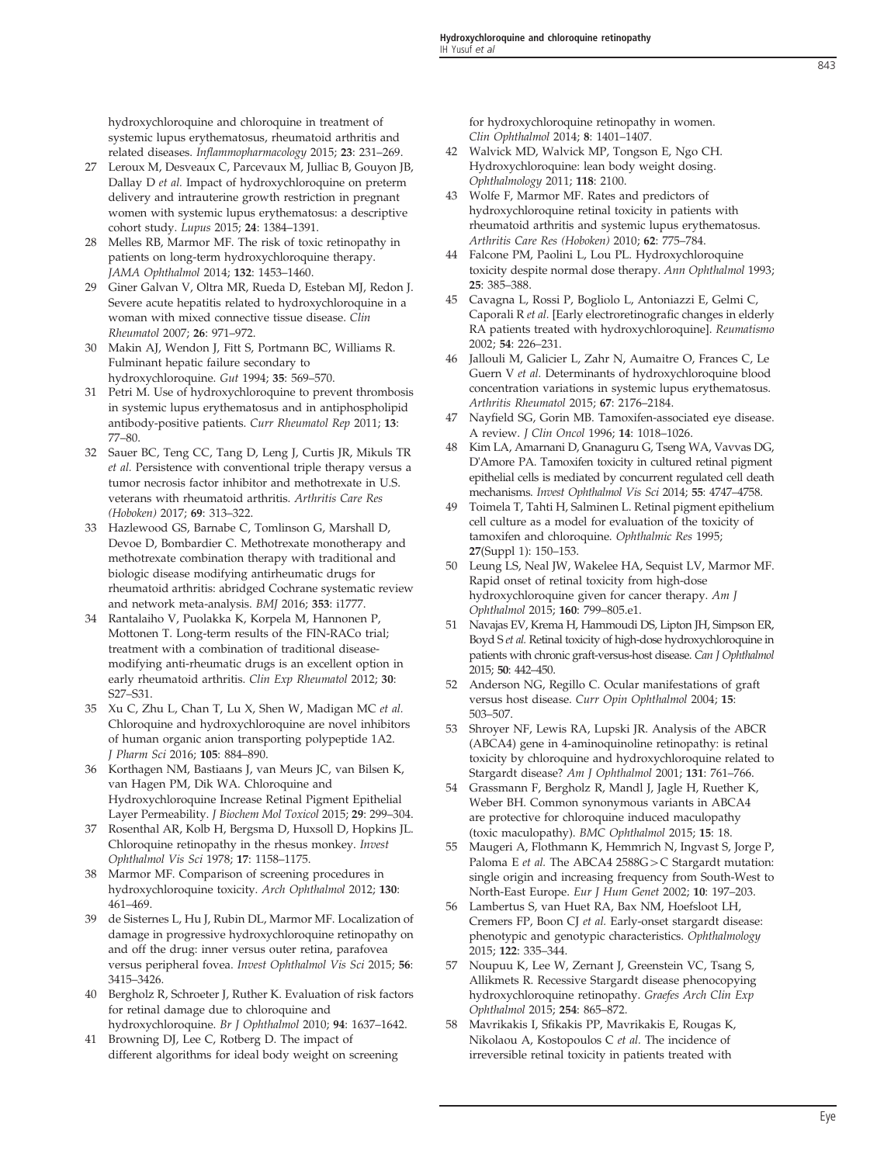<span id="page-15-0"></span>hydroxychloroquine and chloroquine in treatment of systemic lupus erythematosus, rheumatoid arthritis and related diseases. Inflammopharmacology 2015; 23: 231–269.

- 27 Leroux M, Desveaux C, Parcevaux M, Julliac B, Gouyon JB, Dallay D et al. Impact of hydroxychloroquine on preterm delivery and intrauterine growth restriction in pregnant women with systemic lupus erythematosus: a descriptive cohort study. Lupus 2015; 24: 1384–1391.
- 28 Melles RB, Marmor MF. The risk of toxic retinopathy in patients on long-term hydroxychloroquine therapy. JAMA Ophthalmol 2014; 132: 1453–1460.
- 29 Giner Galvan V, Oltra MR, Rueda D, Esteban MJ, Redon J. Severe acute hepatitis related to hydroxychloroquine in a woman with mixed connective tissue disease. Clin Rheumatol 2007; 26: 971–972.
- 30 Makin AJ, Wendon J, Fitt S, Portmann BC, Williams R. Fulminant hepatic failure secondary to hydroxychloroquine. Gut 1994; 35: 569–570.
- 31 Petri M. Use of hydroxychloroquine to prevent thrombosis in systemic lupus erythematosus and in antiphospholipid antibody-positive patients. Curr Rheumatol Rep 2011; 13: 77–80.
- 32 Sauer BC, Teng CC, Tang D, Leng J, Curtis JR, Mikuls TR et al. Persistence with conventional triple therapy versus a tumor necrosis factor inhibitor and methotrexate in U.S. veterans with rheumatoid arthritis. Arthritis Care Res (Hoboken) 2017; 69: 313–322.
- 33 Hazlewood GS, Barnabe C, Tomlinson G, Marshall D, Devoe D, Bombardier C. Methotrexate monotherapy and methotrexate combination therapy with traditional and biologic disease modifying antirheumatic drugs for rheumatoid arthritis: abridged Cochrane systematic review and network meta-analysis. BMJ 2016; 353: i1777.
- 34 Rantalaiho V, Puolakka K, Korpela M, Hannonen P, Mottonen T. Long-term results of the FIN-RACo trial; treatment with a combination of traditional diseasemodifying anti-rheumatic drugs is an excellent option in early rheumatoid arthritis. Clin Exp Rheumatol 2012; 30: S27–S31.
- 35 Xu C, Zhu L, Chan T, Lu X, Shen W, Madigan MC et al. Chloroquine and hydroxychloroquine are novel inhibitors of human organic anion transporting polypeptide 1A2. J Pharm Sci 2016; 105: 884–890.
- 36 Korthagen NM, Bastiaans J, van Meurs JC, van Bilsen K, van Hagen PM, Dik WA. Chloroquine and Hydroxychloroquine Increase Retinal Pigment Epithelial Layer Permeability. J Biochem Mol Toxicol 2015; 29: 299–304.
- 37 Rosenthal AR, Kolb H, Bergsma D, Huxsoll D, Hopkins JL. Chloroquine retinopathy in the rhesus monkey. Invest Ophthalmol Vis Sci 1978; 17: 1158–1175.
- 38 Marmor MF. Comparison of screening procedures in hydroxychloroquine toxicity. Arch Ophthalmol 2012; 130: 461–469.
- 39 de Sisternes L, Hu J, Rubin DL, Marmor MF. Localization of damage in progressive hydroxychloroquine retinopathy on and off the drug: inner versus outer retina, parafovea versus peripheral fovea. Invest Ophthalmol Vis Sci 2015; 56: 3415–3426.
- 40 Bergholz R, Schroeter J, Ruther K. Evaluation of risk factors for retinal damage due to chloroquine and hydroxychloroquine. Br J Ophthalmol 2010; 94: 1637–1642.
- 41 Browning DJ, Lee C, Rotberg D. The impact of different algorithms for ideal body weight on screening

for hydroxychloroquine retinopathy in women. Clin Ophthalmol 2014; 8: 1401–1407.

- 42 Walvick MD, Walvick MP, Tongson E, Ngo CH. Hydroxychloroquine: lean body weight dosing. Ophthalmology 2011; 118: 2100.
- 43 Wolfe F, Marmor MF. Rates and predictors of hydroxychloroquine retinal toxicity in patients with rheumatoid arthritis and systemic lupus erythematosus. Arthritis Care Res (Hoboken) 2010; 62: 775–784.
- 44 Falcone PM, Paolini L, Lou PL. Hydroxychloroquine toxicity despite normal dose therapy. Ann Ophthalmol 1993; 25: 385–388.
- 45 Cavagna L, Rossi P, Bogliolo L, Antoniazzi E, Gelmi C, Caporali R et al. [Early electroretinografic changes in elderly RA patients treated with hydroxychloroquine]. Reumatismo 2002; 54: 226–231.
- 46 Jallouli M, Galicier L, Zahr N, Aumaitre O, Frances C, Le Guern V et al. Determinants of hydroxychloroquine blood concentration variations in systemic lupus erythematosus. Arthritis Rheumatol 2015; 67: 2176–2184.
- 47 Nayfield SG, Gorin MB. Tamoxifen-associated eye disease. A review. J Clin Oncol 1996; 14: 1018–1026.
- 48 Kim LA, Amarnani D, Gnanaguru G, Tseng WA, Vavvas DG, D'Amore PA. Tamoxifen toxicity in cultured retinal pigment epithelial cells is mediated by concurrent regulated cell death mechanisms. Invest Ophthalmol Vis Sci 2014; 55: 4747–4758.
- 49 Toimela T, Tahti H, Salminen L. Retinal pigment epithelium cell culture as a model for evaluation of the toxicity of tamoxifen and chloroquine. Ophthalmic Res 1995; 27(Suppl 1): 150–153.
- 50 Leung LS, Neal JW, Wakelee HA, Sequist LV, Marmor MF. Rapid onset of retinal toxicity from high-dose hydroxychloroquine given for cancer therapy. Am J Ophthalmol 2015; 160: 799–805.e1.
- 51 Navajas EV, Krema H, Hammoudi DS, Lipton JH, Simpson ER, Boyd S et al. Retinal toxicity of high-dose hydroxychloroquine in patients with chronic graft-versus-host disease. Can J Ophthalmol 2015; 50: 442–450.
- 52 Anderson NG, Regillo C. Ocular manifestations of graft versus host disease. Curr Opin Ophthalmol 2004; 15: 503–507.
- 53 Shroyer NF, Lewis RA, Lupski JR. Analysis of the ABCR (ABCA4) gene in 4-aminoquinoline retinopathy: is retinal toxicity by chloroquine and hydroxychloroquine related to Stargardt disease? Am J Ophthalmol 2001; 131: 761-766.
- 54 Grassmann F, Bergholz R, Mandl J, Jagle H, Ruether K, Weber BH. Common synonymous variants in ABCA4 are protective for chloroquine induced maculopathy (toxic maculopathy). BMC Ophthalmol 2015; 15: 18.
- 55 Maugeri A, Flothmann K, Hemmrich N, Ingvast S, Jorge P, Paloma E et al. The ABCA4  $2588G > C$  Stargardt mutation: single origin and increasing frequency from South-West to North-East Europe. Eur J Hum Genet 2002; 10: 197–203.
- 56 Lambertus S, van Huet RA, Bax NM, Hoefsloot LH, Cremers FP, Boon CJ et al. Early-onset stargardt disease: phenotypic and genotypic characteristics. Ophthalmology 2015; 122: 335–344.
- 57 Noupuu K, Lee W, Zernant J, Greenstein VC, Tsang S, Allikmets R. Recessive Stargardt disease phenocopying hydroxychloroquine retinopathy. Graefes Arch Clin Exp Ophthalmol 2015; 254: 865–872.
- 58 Mavrikakis I, Sfikakis PP, Mavrikakis E, Rougas K, Nikolaou A, Kostopoulos C et al. The incidence of irreversible retinal toxicity in patients treated with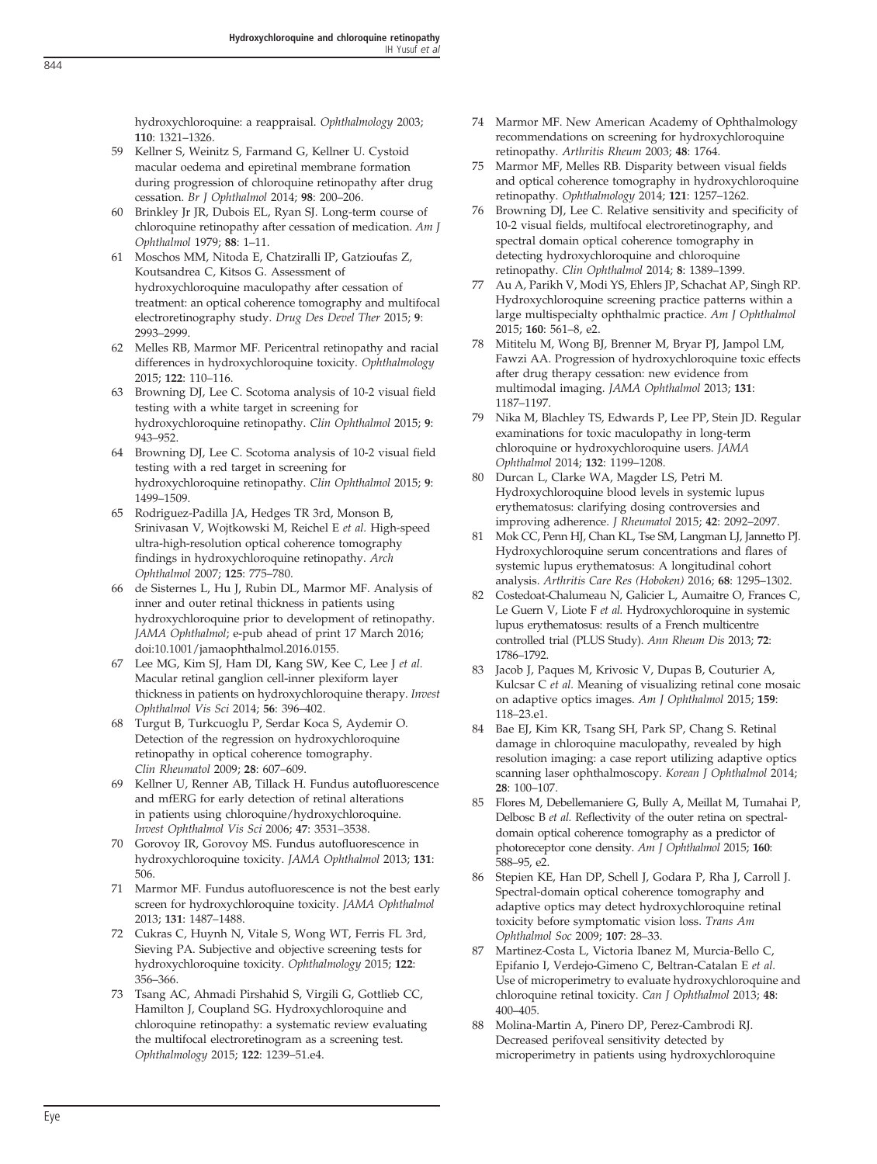<span id="page-16-0"></span>hydroxychloroquine: a reappraisal. Ophthalmology 2003; 110: 1321–1326.

- 59 Kellner S, Weinitz S, Farmand G, Kellner U. Cystoid macular oedema and epiretinal membrane formation during progression of chloroquine retinopathy after drug cessation. Br J Ophthalmol 2014; 98: 200–206.
- 60 Brinkley Jr JR, Dubois EL, Ryan SJ. Long-term course of chloroquine retinopathy after cessation of medication. Am J Ophthalmol 1979; 88: 1–11.
- 61 Moschos MM, Nitoda E, Chatziralli IP, Gatzioufas Z, Koutsandrea C, Kitsos G. Assessment of hydroxychloroquine maculopathy after cessation of treatment: an optical coherence tomography and multifocal electroretinography study. Drug Des Devel Ther 2015; 9: 2993–2999.
- 62 Melles RB, Marmor MF. Pericentral retinopathy and racial differences in hydroxychloroquine toxicity. Ophthalmology 2015; 122: 110–116.
- 63 Browning DJ, Lee C. Scotoma analysis of 10-2 visual field testing with a white target in screening for hydroxychloroquine retinopathy. Clin Ophthalmol 2015; 9: 943–952.
- 64 Browning DJ, Lee C. Scotoma analysis of 10-2 visual field testing with a red target in screening for hydroxychloroquine retinopathy. Clin Ophthalmol 2015; 9: 1499–1509.
- 65 Rodriguez-Padilla JA, Hedges TR 3rd, Monson B, Srinivasan V, Wojtkowski M, Reichel E et al. High-speed ultra-high-resolution optical coherence tomography findings in hydroxychloroquine retinopathy. Arch Ophthalmol 2007; 125: 775–780.
- 66 de Sisternes L, Hu J, Rubin DL, Marmor MF. Analysis of inner and outer retinal thickness in patients using hydroxychloroquine prior to development of retinopathy. JAMA Ophthalmol; e-pub ahead of print 17 March 2016; doi:[10.1001/jamaophthalmol.2016.0155](http://dx.doi.org/10.1001/jamaophthalmol.2016.0155).
- 67 Lee MG, Kim SJ, Ham DI, Kang SW, Kee C, Lee J et al. Macular retinal ganglion cell-inner plexiform layer thickness in patients on hydroxychloroquine therapy. Invest Ophthalmol Vis Sci 2014; 56: 396–402.
- 68 Turgut B, Turkcuoglu P, Serdar Koca S, Aydemir O. Detection of the regression on hydroxychloroquine retinopathy in optical coherence tomography. Clin Rheumatol 2009; 28: 607–609.
- 69 Kellner U, Renner AB, Tillack H. Fundus autofluorescence and mfERG for early detection of retinal alterations in patients using chloroquine/hydroxychloroquine. Invest Ophthalmol Vis Sci 2006; 47: 3531–3538.
- 70 Gorovoy IR, Gorovoy MS. Fundus autofluorescence in hydroxychloroquine toxicity. JAMA Ophthalmol 2013; 131: 506.
- 71 Marmor MF. Fundus autofluorescence is not the best early screen for hydroxychloroquine toxicity. JAMA Ophthalmol 2013; 131: 1487–1488.
- 72 Cukras C, Huynh N, Vitale S, Wong WT, Ferris FL 3rd, Sieving PA. Subjective and objective screening tests for hydroxychloroquine toxicity. Ophthalmology 2015; 122: 356–366.
- 73 Tsang AC, Ahmadi Pirshahid S, Virgili G, Gottlieb CC, Hamilton J, Coupland SG. Hydroxychloroquine and chloroquine retinopathy: a systematic review evaluating the multifocal electroretinogram as a screening test. Ophthalmology 2015; 122: 1239–51.e4.
- 74 Marmor MF. New American Academy of Ophthalmology recommendations on screening for hydroxychloroquine retinopathy. Arthritis Rheum 2003; 48: 1764.
- 75 Marmor MF, Melles RB. Disparity between visual fields and optical coherence tomography in hydroxychloroquine retinopathy. Ophthalmology 2014; 121: 1257–1262.
- 76 Browning DJ, Lee C. Relative sensitivity and specificity of 10-2 visual fields, multifocal electroretinography, and spectral domain optical coherence tomography in detecting hydroxychloroquine and chloroquine retinopathy. Clin Ophthalmol 2014; 8: 1389–1399.
- 77 Au A, Parikh V, Modi YS, Ehlers JP, Schachat AP, Singh RP. Hydroxychloroquine screening practice patterns within a large multispecialty ophthalmic practice. Am J Ophthalmol 2015; 160: 561–8, e2.
- 78 Mititelu M, Wong BJ, Brenner M, Bryar PJ, Jampol LM, Fawzi AA. Progression of hydroxychloroquine toxic effects after drug therapy cessation: new evidence from multimodal imaging. JAMA Ophthalmol 2013; 131: 1187–1197.
- 79 Nika M, Blachley TS, Edwards P, Lee PP, Stein JD. Regular examinations for toxic maculopathy in long-term chloroquine or hydroxychloroquine users. JAMA Ophthalmol 2014; 132: 1199–1208.
- 80 Durcan L, Clarke WA, Magder LS, Petri M. Hydroxychloroquine blood levels in systemic lupus erythematosus: clarifying dosing controversies and improving adherence. J Rheumatol 2015; 42: 2092–2097.
- 81 Mok CC, Penn HJ, Chan KL, Tse SM, Langman LJ, Jannetto PJ. Hydroxychloroquine serum concentrations and flares of systemic lupus erythematosus: A longitudinal cohort analysis. Arthritis Care Res (Hoboken) 2016; 68: 1295–1302.
- 82 Costedoat-Chalumeau N, Galicier L, Aumaitre O, Frances C, Le Guern V, Liote F et al. Hydroxychloroquine in systemic lupus erythematosus: results of a French multicentre controlled trial (PLUS Study). Ann Rheum Dis 2013; 72: 1786–1792.
- 83 Jacob J, Paques M, Krivosic V, Dupas B, Couturier A, Kulcsar C et al. Meaning of visualizing retinal cone mosaic on adaptive optics images. Am J Ophthalmol 2015; 159: 118–23.e1.
- 84 Bae EJ, Kim KR, Tsang SH, Park SP, Chang S. Retinal damage in chloroquine maculopathy, revealed by high resolution imaging: a case report utilizing adaptive optics scanning laser ophthalmoscopy. Korean J Ophthalmol 2014; 28: 100–107.
- 85 Flores M, Debellemaniere G, Bully A, Meillat M, Tumahai P, Delbosc B et al. Reflectivity of the outer retina on spectraldomain optical coherence tomography as a predictor of photoreceptor cone density. Am J Ophthalmol 2015; 160: 588–95, e2.
- Stepien KE, Han DP, Schell J, Godara P, Rha J, Carroll J. Spectral-domain optical coherence tomography and adaptive optics may detect hydroxychloroquine retinal toxicity before symptomatic vision loss. Trans Am Ophthalmol Soc 2009; 107: 28–33.
- 87 Martinez-Costa L, Victoria Ibanez M, Murcia-Bello C, Epifanio I, Verdejo-Gimeno C, Beltran-Catalan E et al. Use of microperimetry to evaluate hydroxychloroquine and chloroquine retinal toxicity. Can J Ophthalmol 2013; 48: 400–405.
- 88 Molina-Martin A, Pinero DP, Perez-Cambrodi RJ. Decreased perifoveal sensitivity detected by microperimetry in patients using hydroxychloroquine